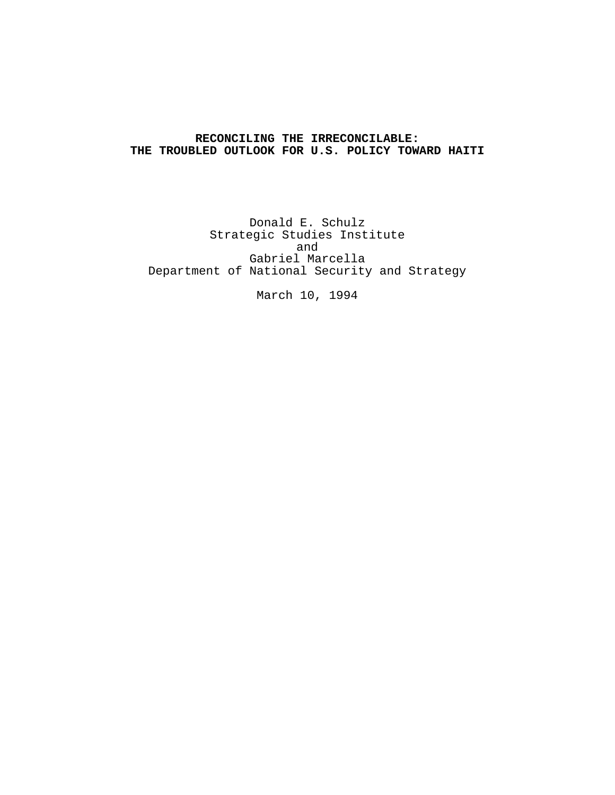# **RECONCILING THE IRRECONCILABLE: THE TROUBLED OUTLOOK FOR U.S. POLICY TOWARD HAITI**

Donald E. Schulz Strategic Studies Institute and Gabriel Marcella Department of National Security and Strategy

March 10, 1994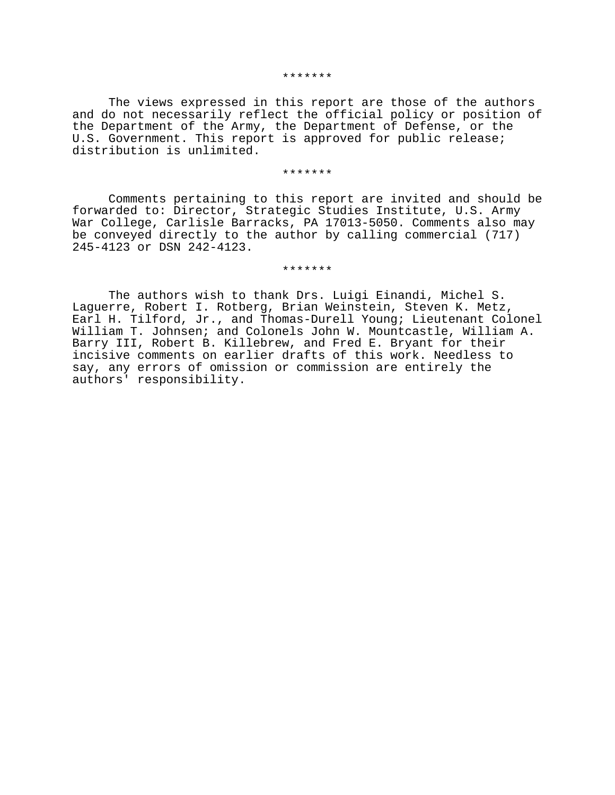#### \*\*\*\*\*\*\*

The views expressed in this report are those of the authors and do not necessarily reflect the official policy or position of the Department of the Army, the Department of Defense, or the U.S. Government. This report is approved for public release; distribution is unlimited.

#### \*\*\*\*\*\*\*

Comments pertaining to this report are invited and should be forwarded to: Director, Strategic Studies Institute, U.S. Army War College, Carlisle Barracks, PA 17013-5050. Comments also may be conveyed directly to the author by calling commercial (717) 245-4123 or DSN 242-4123.

\*\*\*\*\*\*\*

The authors wish to thank Drs. Luigi Einandi, Michel S. Laguerre, Robert I. Rotberg, Brian Weinstein, Steven K. Metz, Earl H. Tilford, Jr., and Thomas-Durell Young; Lieutenant Colonel William T. Johnsen; and Colonels John W. Mountcastle, William A. Barry III, Robert B. Killebrew, and Fred E. Bryant for their incisive comments on earlier drafts of this work. Needless to say, any errors of omission or commission are entirely the authors' responsibility.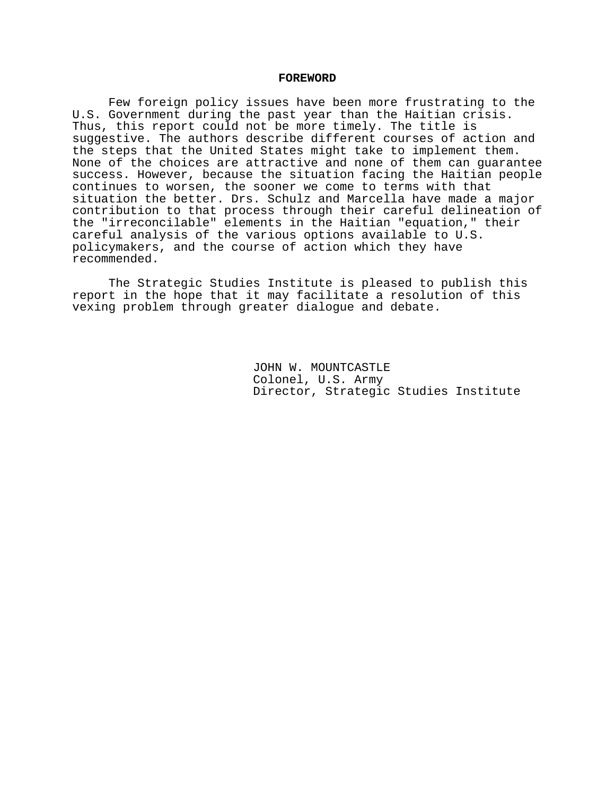#### **FOREWORD**

Few foreign policy issues have been more frustrating to the U.S. Government during the past year than the Haitian crisis. Thus, this report could not be more timely. The title is suggestive. The authors describe different courses of action and the steps that the United States might take to implement them. None of the choices are attractive and none of them can guarantee success. However, because the situation facing the Haitian people continues to worsen, the sooner we come to terms with that situation the better. Drs. Schulz and Marcella have made a major contribution to that process through their careful delineation of the "irreconcilable" elements in the Haitian "equation," their careful analysis of the various options available to U.S. policymakers, and the course of action which they have recommended.

The Strategic Studies Institute is pleased to publish this report in the hope that it may facilitate a resolution of this vexing problem through greater dialogue and debate.

> JOHN W. MOUNTCASTLE Colonel, U.S. Army Director, Strategic Studies Institute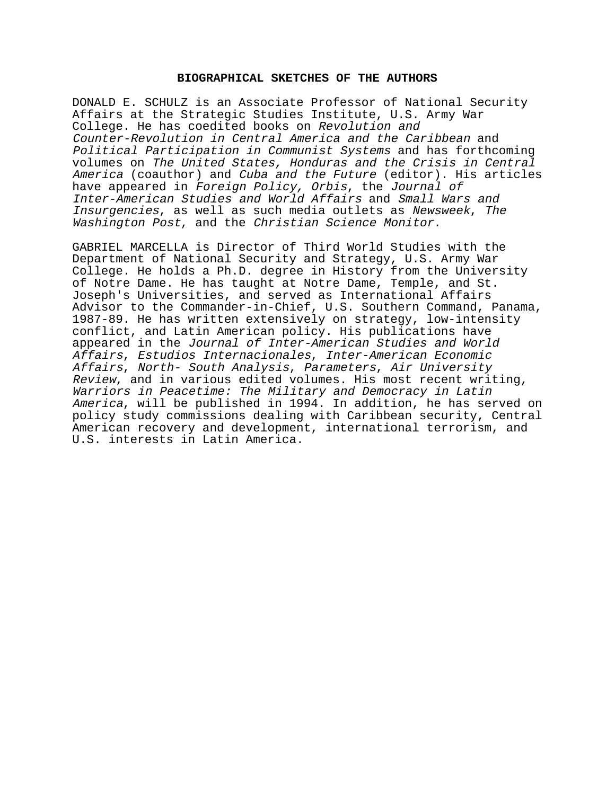## **BIOGRAPHICAL SKETCHES OF THE AUTHORS**

DONALD E. SCHULZ is an Associate Professor of National Security Affairs at the Strategic Studies Institute, U.S. Army War College. He has coedited books on Revolution and Counter-Revolution in Central America and the Caribbean and Political Participation in Communist Systems and has forthcoming volumes on The United States, Honduras and the Crisis in Central America (coauthor) and Cuba and the Future (editor). His articles have appeared in Foreign Policy, Orbis, the Journal of Inter-American Studies and World Affairs and Small Wars and Insurgencies, as well as such media outlets as Newsweek, The Washington Post, and the Christian Science Monitor.

GABRIEL MARCELLA is Director of Third World Studies with the Department of National Security and Strategy, U.S. Army War College. He holds a Ph.D. degree in History from the University of Notre Dame. He has taught at Notre Dame, Temple, and St. Joseph's Universities, and served as International Affairs Advisor to the Commander-in-Chief, U.S. Southern Command, Panama, 1987-89. He has written extensively on strategy, low-intensity conflict, and Latin American policy. His publications have appeared in the Journal of Inter-American Studies and World Affairs, Estudios Internacionales, Inter-American Economic Affairs, North- South Analysis, Parameters, Air University Review, and in various edited volumes. His most recent writing, Warriors in Peacetime: The Military and Democracy in Latin America, will be published in 1994. In addition, he has served on policy study commissions dealing with Caribbean security, Central American recovery and development, international terrorism, and U.S. interests in Latin America.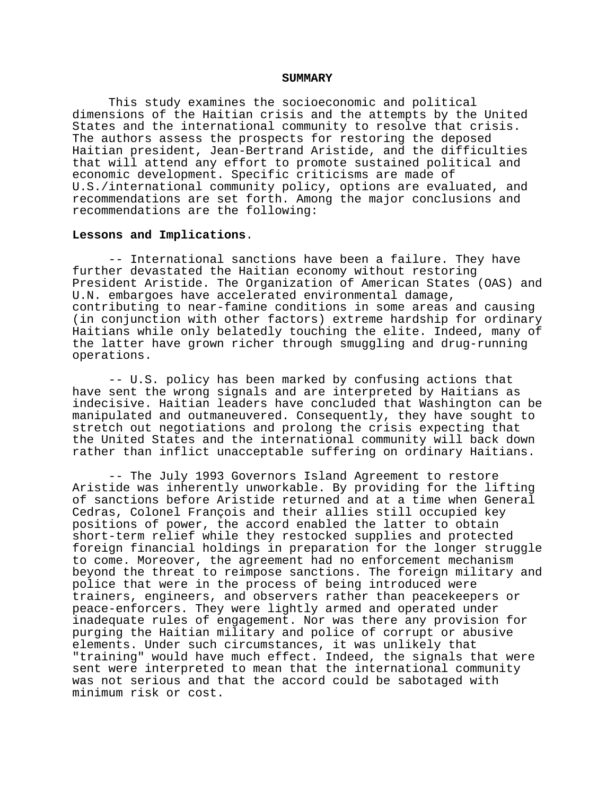#### **SUMMARY**

This study examines the socioeconomic and political dimensions of the Haitian crisis and the attempts by the United States and the international community to resolve that crisis. The authors assess the prospects for restoring the deposed Haitian president, Jean-Bertrand Aristide, and the difficulties that will attend any effort to promote sustained political and economic development. Specific criticisms are made of U.S./international community policy, options are evaluated, and recommendations are set forth. Among the major conclusions and recommendations are the following:

#### **Lessons and Implications**.

-- International sanctions have been a failure. They have further devastated the Haitian economy without restoring President Aristide. The Organization of American States (OAS) and U.N. embargoes have accelerated environmental damage, contributing to near-famine conditions in some areas and causing (in conjunction with other factors) extreme hardship for ordinary Haitians while only belatedly touching the elite. Indeed, many of the latter have grown richer through smuggling and drug-running operations.

-- U.S. policy has been marked by confusing actions that have sent the wrong signals and are interpreted by Haitians as indecisive. Haitian leaders have concluded that Washington can be manipulated and outmaneuvered. Consequently, they have sought to stretch out negotiations and prolong the crisis expecting that the United States and the international community will back down rather than inflict unacceptable suffering on ordinary Haitians.

-- The July 1993 Governors Island Agreement to restore Aristide was inherently unworkable. By providing for the lifting of sanctions before Aristide returned and at a time when General Cedras, Colonel François and their allies still occupied key positions of power, the accord enabled the latter to obtain short-term relief while they restocked supplies and protected foreign financial holdings in preparation for the longer struggle to come. Moreover, the agreement had no enforcement mechanism beyond the threat to reimpose sanctions. The foreign military and police that were in the process of being introduced were trainers, engineers, and observers rather than peacekeepers or peace-enforcers. They were lightly armed and operated under inadequate rules of engagement. Nor was there any provision for purging the Haitian military and police of corrupt or abusive elements. Under such circumstances, it was unlikely that "training" would have much effect. Indeed, the signals that were sent were interpreted to mean that the international community was not serious and that the accord could be sabotaged with minimum risk or cost.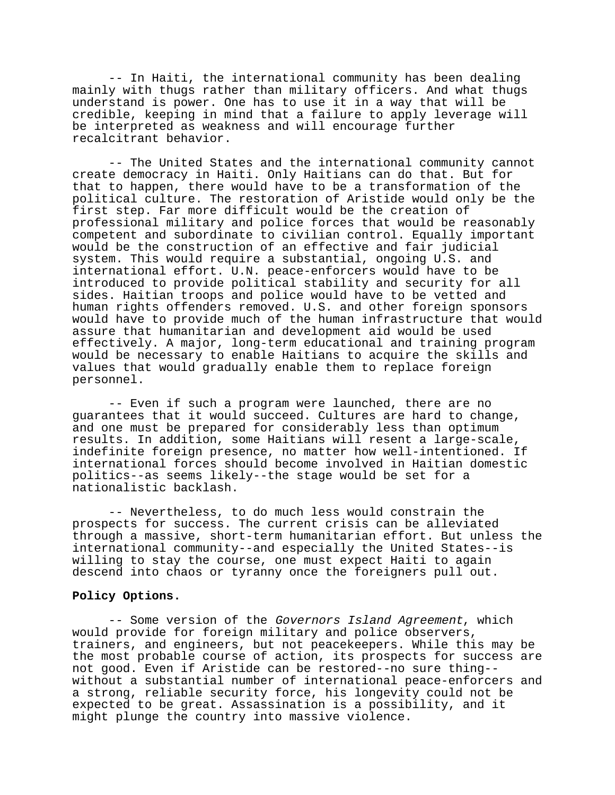-- In Haiti, the international community has been dealing mainly with thugs rather than military officers. And what thugs understand is power. One has to use it in a way that will be credible, keeping in mind that a failure to apply leverage will be interpreted as weakness and will encourage further recalcitrant behavior.

-- The United States and the international community cannot create democracy in Haiti. Only Haitians can do that. But for that to happen, there would have to be a transformation of the political culture. The restoration of Aristide would only be the first step. Far more difficult would be the creation of professional military and police forces that would be reasonably competent and subordinate to civilian control. Equally important would be the construction of an effective and fair judicial system. This would require a substantial, ongoing U.S. and international effort. U.N. peace-enforcers would have to be introduced to provide political stability and security for all sides. Haitian troops and police would have to be vetted and human rights offenders removed. U.S. and other foreign sponsors would have to provide much of the human infrastructure that would assure that humanitarian and development aid would be used effectively. A major, long-term educational and training program would be necessary to enable Haitians to acquire the skills and values that would gradually enable them to replace foreign personnel.

-- Even if such a program were launched, there are no guarantees that it would succeed. Cultures are hard to change, and one must be prepared for considerably less than optimum results. In addition, some Haitians will resent a large-scale, indefinite foreign presence, no matter how well-intentioned. If international forces should become involved in Haitian domestic politics--as seems likely--the stage would be set for a nationalistic backlash.

-- Nevertheless, to do much less would constrain the prospects for success. The current crisis can be alleviated through a massive, short-term humanitarian effort. But unless the international community--and especially the United States--is willing to stay the course, one must expect Haiti to again descend into chaos or tyranny once the foreigners pull out.

### **Policy Options.**

-- Some version of the Governors Island Agreement, which would provide for foreign military and police observers, trainers, and engineers, but not peacekeepers. While this may be the most probable course of action, its prospects for success are not good. Even if Aristide can be restored--no sure thing- without a substantial number of international peace-enforcers and a strong, reliable security force, his longevity could not be expected to be great. Assassination is a possibility, and it might plunge the country into massive violence.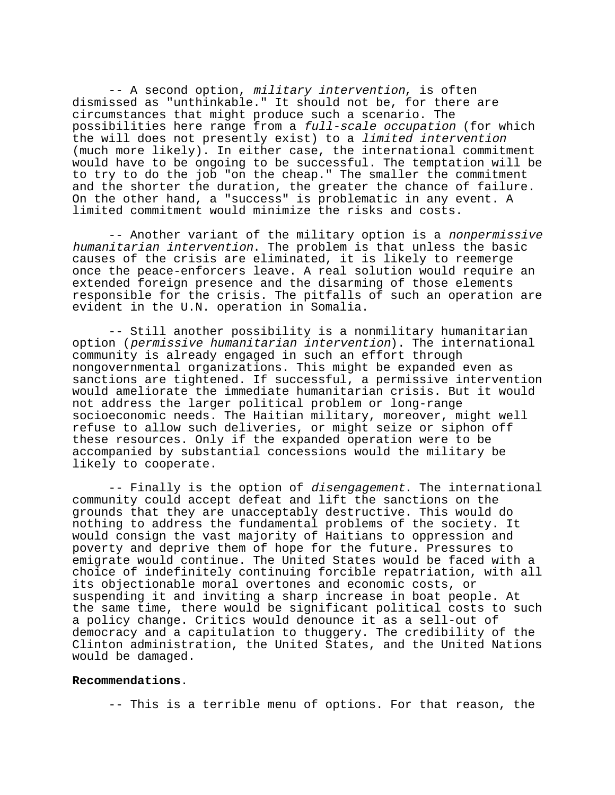-- A second option, military intervention, is often dismissed as "unthinkable." It should not be, for there are circumstances that might produce such a scenario. The possibilities here range from a full-scale occupation (for which the will does not presently exist) to a limited intervention (much more likely). In either case, the international commitment would have to be ongoing to be successful. The temptation will be to try to do the job "on the cheap." The smaller the commitment and the shorter the duration, the greater the chance of failure. On the other hand, a "success" is problematic in any event. A limited commitment would minimize the risks and costs.

-- Another variant of the military option is a nonpermissive humanitarian intervention. The problem is that unless the basic causes of the crisis are eliminated, it is likely to reemerge once the peace-enforcers leave. A real solution would require an extended foreign presence and the disarming of those elements responsible for the crisis. The pitfalls of such an operation are evident in the U.N. operation in Somalia.

-- Still another possibility is a nonmilitary humanitarian option (permissive humanitarian intervention). The international community is already engaged in such an effort through nongovernmental organizations. This might be expanded even as sanctions are tightened. If successful, a permissive intervention would ameliorate the immediate humanitarian crisis. But it would not address the larger political problem or long-range socioeconomic needs. The Haitian military, moreover, might well refuse to allow such deliveries, or might seize or siphon off these resources. Only if the expanded operation were to be accompanied by substantial concessions would the military be likely to cooperate.

-- Finally is the option of *disengagement*. The international community could accept defeat and lift the sanctions on the grounds that they are unacceptably destructive. This would do nothing to address the fundamental problems of the society. It would consign the vast majority of Haitians to oppression and poverty and deprive them of hope for the future. Pressures to emigrate would continue. The United States would be faced with a choice of indefinitely continuing forcible repatriation, with all its objectionable moral overtones and economic costs, or suspending it and inviting a sharp increase in boat people. At the same time, there would be significant political costs to such a policy change. Critics would denounce it as a sell-out of democracy and a capitulation to thuggery. The credibility of the Clinton administration, the United States, and the United Nations would be damaged.

#### **Recommendations**.

-- This is a terrible menu of options. For that reason, the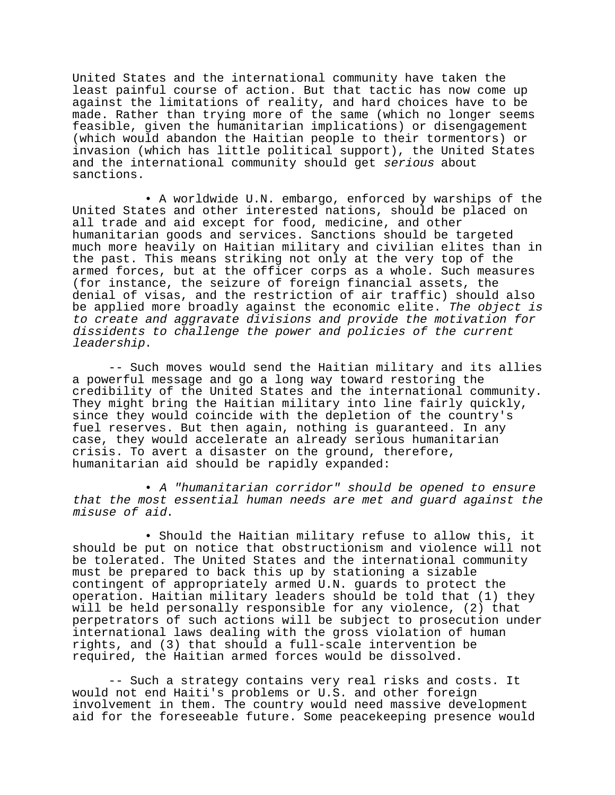United States and the international community have taken the least painful course of action. But that tactic has now come up against the limitations of reality, and hard choices have to be made. Rather than trying more of the same (which no longer seems feasible, given the humanitarian implications) or disengagement (which would abandon the Haitian people to their tormentors) or invasion (which has little political support), the United States and the international community should get serious about sanctions.

• A worldwide U.N. embargo, enforced by warships of the United States and other interested nations, should be placed on all trade and aid except for food, medicine, and other humanitarian goods and services. Sanctions should be targeted much more heavily on Haitian military and civilian elites than in the past. This means striking not only at the very top of the armed forces, but at the officer corps as a whole. Such measures (for instance, the seizure of foreign financial assets, the denial of visas, and the restriction of air traffic) should also be applied more broadly against the economic elite. The object is to create and aggravate divisions and provide the motivation for dissidents to challenge the power and policies of the current leadership.

-- Such moves would send the Haitian military and its allies a powerful message and go a long way toward restoring the credibility of the United States and the international community. They might bring the Haitian military into line fairly quickly, since they would coincide with the depletion of the country's fuel reserves. But then again, nothing is guaranteed. In any case, they would accelerate an already serious humanitarian crisis. To avert a disaster on the ground, therefore, humanitarian aid should be rapidly expanded:

• A "humanitarian corridor" should be opened to ensure that the most essential human needs are met and guard against the misuse of aid.

• Should the Haitian military refuse to allow this, it should be put on notice that obstructionism and violence will not be tolerated. The United States and the international community must be prepared to back this up by stationing a sizable contingent of appropriately armed U.N. guards to protect the operation. Haitian military leaders should be told that (1) they will be held personally responsible for any violence, (2) that perpetrators of such actions will be subject to prosecution under international laws dealing with the gross violation of human rights, and (3) that should a full-scale intervention be required, the Haitian armed forces would be dissolved.

-- Such a strategy contains very real risks and costs. It would not end Haiti's problems or U.S. and other foreign involvement in them. The country would need massive development aid for the foreseeable future. Some peacekeeping presence would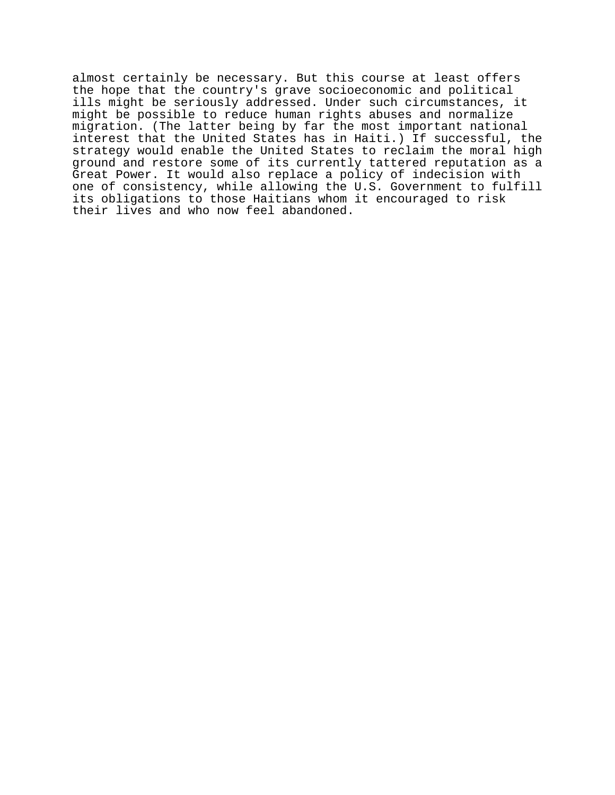almost certainly be necessary. But this course at least offers the hope that the country's grave socioeconomic and political ills might be seriously addressed. Under such circumstances, it might be possible to reduce human rights abuses and normalize migration. (The latter being by far the most important national interest that the United States has in Haiti.) If successful, the strategy would enable the United States to reclaim the moral high ground and restore some of its currently tattered reputation as a Great Power. It would also replace a policy of indecision with one of consistency, while allowing the U.S. Government to fulfill its obligations to those Haitians whom it encouraged to risk their lives and who now feel abandoned.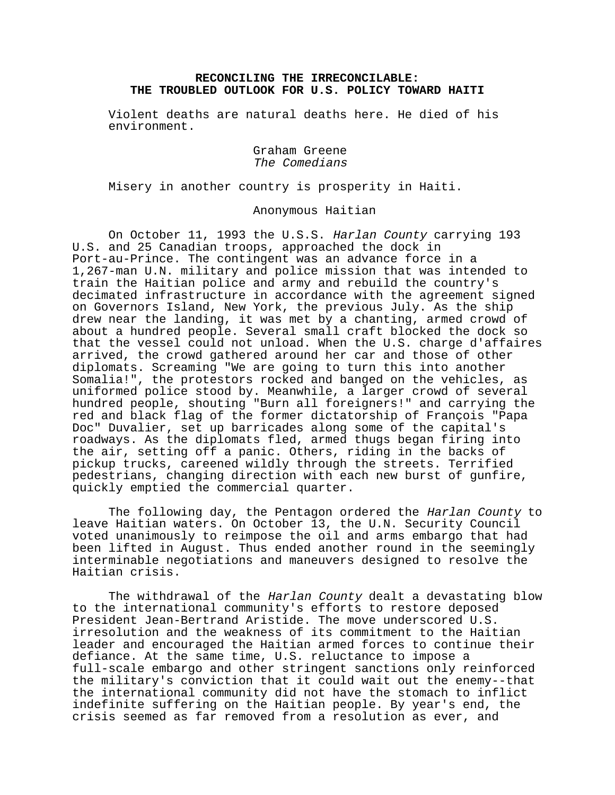## **RECONCILING THE IRRECONCILABLE: THE TROUBLED OUTLOOK FOR U.S. POLICY TOWARD HAITI**

Violent deaths are natural deaths here. He died of his environment.

> Graham Greene The Comedians

Misery in another country is prosperity in Haiti.

Anonymous Haitian

On October 11, 1993 the U.S.S. Harlan County carrying 193 U.S. and 25 Canadian troops, approached the dock in Port-au-Prince. The contingent was an advance force in a 1,267-man U.N. military and police mission that was intended to train the Haitian police and army and rebuild the country's decimated infrastructure in accordance with the agreement signed on Governors Island, New York, the previous July. As the ship drew near the landing, it was met by a chanting, armed crowd of about a hundred people. Several small craft blocked the dock so that the vessel could not unload. When the U.S. charge d'affaires arrived, the crowd gathered around her car and those of other diplomats. Screaming "We are going to turn this into another Somalia!", the protestors rocked and banged on the vehicles, as uniformed police stood by. Meanwhile, a larger crowd of several hundred people, shouting "Burn all foreigners!" and carrying the red and black flag of the former dictatorship of François "Papa Doc" Duvalier, set up barricades along some of the capital's roadways. As the diplomats fled, armed thugs began firing into the air, setting off a panic. Others, riding in the backs of pickup trucks, careened wildly through the streets. Terrified pedestrians, changing direction with each new burst of gunfire, quickly emptied the commercial quarter.

The following day, the Pentagon ordered the Harlan County to leave Haitian waters. On October 13, the U.N. Security Council voted unanimously to reimpose the oil and arms embargo that had been lifted in August. Thus ended another round in the seemingly interminable negotiations and maneuvers designed to resolve the Haitian crisis.

The withdrawal of the Harlan County dealt a devastating blow to the international community's efforts to restore deposed President Jean-Bertrand Aristide. The move underscored U.S. irresolution and the weakness of its commitment to the Haitian leader and encouraged the Haitian armed forces to continue their defiance. At the same time, U.S. reluctance to impose a full-scale embargo and other stringent sanctions only reinforced the military's conviction that it could wait out the enemy--that the international community did not have the stomach to inflict indefinite suffering on the Haitian people. By year's end, the crisis seemed as far removed from a resolution as ever, and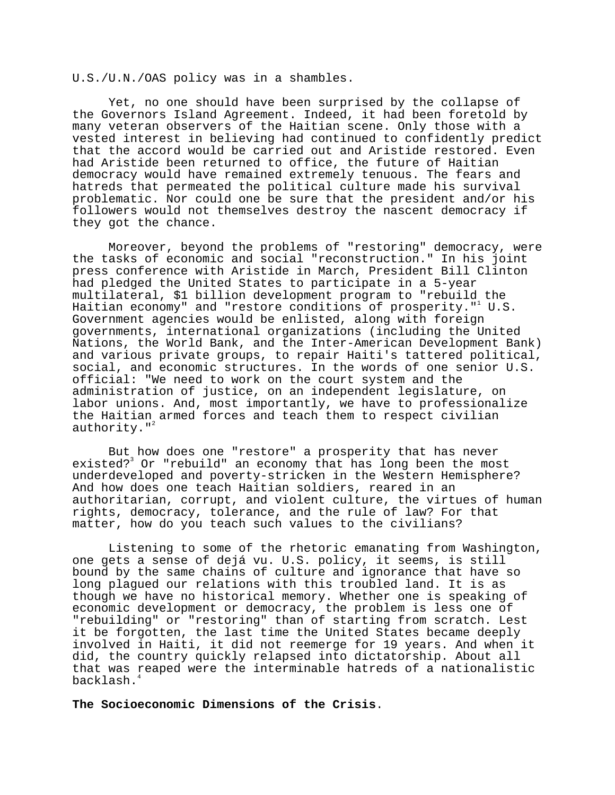U.S./U.N./OAS policy was in a shambles.

Yet, no one should have been surprised by the collapse of the Governors Island Agreement. Indeed, it had been foretold by many veteran observers of the Haitian scene. Only those with a vested interest in believing had continued to confidently predict that the accord would be carried out and Aristide restored. Even had Aristide been returned to office, the future of Haitian democracy would have remained extremely tenuous. The fears and hatreds that permeated the political culture made his survival problematic. Nor could one be sure that the president and/or his followers would not themselves destroy the nascent democracy if they got the chance.

Moreover, beyond the problems of "restoring" democracy, were the tasks of economic and social "reconstruction." In his joint press conference with Aristide in March, President Bill Clinton had pledged the United States to participate in a 5-year multilateral, \$1 billion development program to "rebuild the Haitian economy" and "restore conditions of prosperity."  $U.S.$ Government agencies would be enlisted, along with foreign governments, international organizations (including the United Nations, the World Bank, and the Inter-American Development Bank) and various private groups, to repair Haiti's tattered political, social, and economic structures. In the words of one senior U.S. official: "We need to work on the court system and the administration of justice, on an independent legislature, on labor unions. And, most importantly, we have to professionalize the Haitian armed forces and teach them to respect civilian authority. $"$ 

But how does one "restore" a prosperity that has never existed?<sup>3</sup> Or "rebuild" an economy that has long been the most underdeveloped and poverty-stricken in the Western Hemisphere? And how does one teach Haitian soldiers, reared in an authoritarian, corrupt, and violent culture, the virtues of human rights, democracy, tolerance, and the rule of law? For that matter, how do you teach such values to the civilians?

Listening to some of the rhetoric emanating from Washington, one gets a sense of dejá vu. U.S. policy, it seems, is still bound by the same chains of culture and ignorance that have so long plagued our relations with this troubled land. It is as though we have no historical memory. Whether one is speaking of economic development or democracy, the problem is less one of "rebuilding" or "restoring" than of starting from scratch. Lest it be forgotten, the last time the United States became deeply involved in Haiti, it did not reemerge for 19 years. And when it did, the country quickly relapsed into dictatorship. About all that was reaped were the interminable hatreds of a nationalistic backlash.<sup>4</sup>

**The Socioeconomic Dimensions of the Crisis**.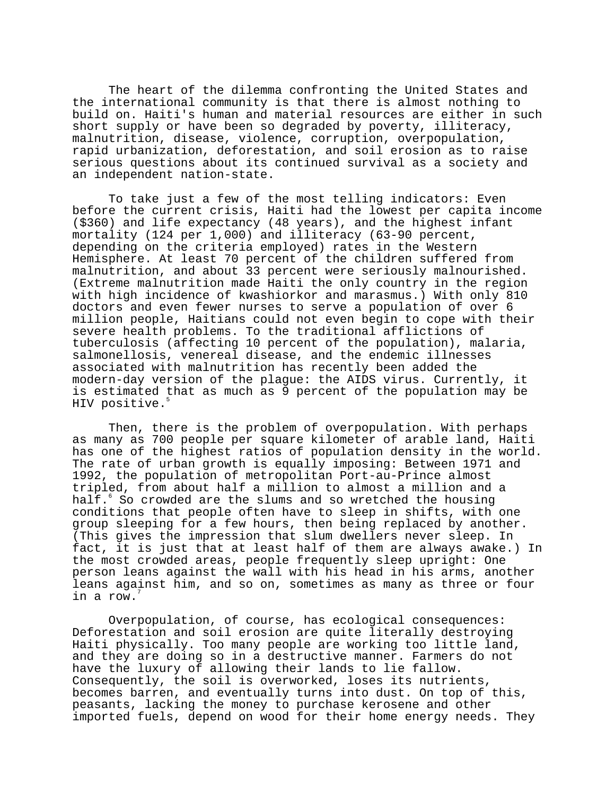The heart of the dilemma confronting the United States and the international community is that there is almost nothing to build on. Haiti's human and material resources are either in such short supply or have been so degraded by poverty, illiteracy, malnutrition, disease, violence, corruption, overpopulation, rapid urbanization, deforestation, and soil erosion as to raise serious questions about its continued survival as a society and an independent nation-state.

To take just a few of the most telling indicators: Even before the current crisis, Haiti had the lowest per capita income (\$360) and life expectancy (48 years), and the highest infant mortality (124 per 1,000) and illiteracy (63-90 percent, depending on the criteria employed) rates in the Western Hemisphere. At least 70 percent of the children suffered from malnutrition, and about 33 percent were seriously malnourished. (Extreme malnutrition made Haiti the only country in the region with high incidence of kwashiorkor and marasmus.) With only 810 doctors and even fewer nurses to serve a population of over 6 million people, Haitians could not even begin to cope with their severe health problems. To the traditional afflictions of tuberculosis (affecting 10 percent of the population), malaria, salmonellosis, venereal disease, and the endemic illnesses associated with malnutrition has recently been added the modern-day version of the plague: the AIDS virus. Currently, it is estimated that as much as 9 percent of the population may be HIV positive.<sup>5</sup>

Then, there is the problem of overpopulation. With perhaps as many as 700 people per square kilometer of arable land, Haiti has one of the highest ratios of population density in the world. The rate of urban growth is equally imposing: Between 1971 and 1992, the population of metropolitan Port-au-Prince almost tripled, from about half a million to almost a million and a half. $^{\circ}$  So crowded are the slums and so wretched the housing conditions that people often have to sleep in shifts, with one group sleeping for a few hours, then being replaced by another. (This gives the impression that slum dwellers never sleep. In fact, it is just that at least half of them are always awake.) In the most crowded areas, people frequently sleep upright: One person leans against the wall with his head in his arms, another leans against him, and so on, sometimes as many as three or four in a row.7

Overpopulation, of course, has ecological consequences: Deforestation and soil erosion are quite literally destroying Haiti physically. Too many people are working too little land, and they are doing so in a destructive manner. Farmers do not have the luxury of allowing their lands to lie fallow. Consequently, the soil is overworked, loses its nutrients, becomes barren, and eventually turns into dust. On top of this, peasants, lacking the money to purchase kerosene and other imported fuels, depend on wood for their home energy needs. They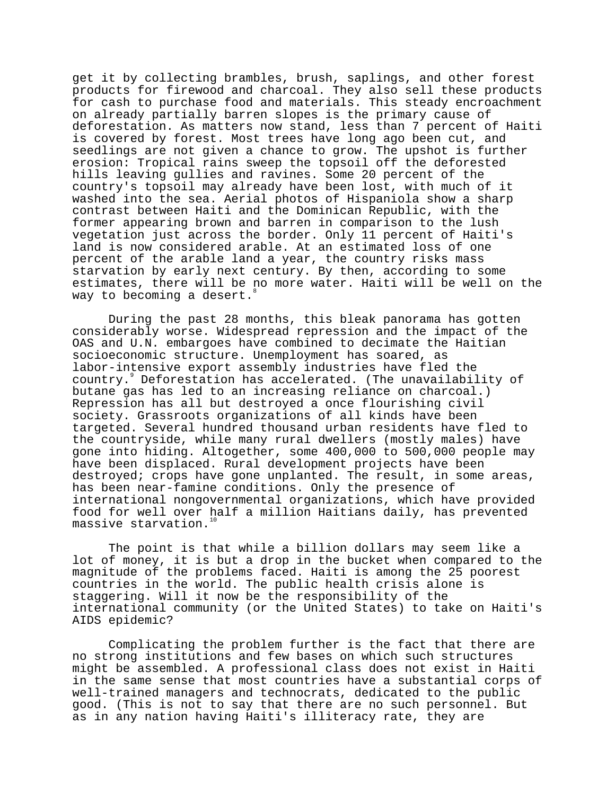get it by collecting brambles, brush, saplings, and other forest products for firewood and charcoal. They also sell these products for cash to purchase food and materials. This steady encroachment on already partially barren slopes is the primary cause of deforestation. As matters now stand, less than 7 percent of Haiti is covered by forest. Most trees have long ago been cut, and seedlings are not given a chance to grow. The upshot is further erosion: Tropical rains sweep the topsoil off the deforested hills leaving gullies and ravines. Some 20 percent of the country's topsoil may already have been lost, with much of it washed into the sea. Aerial photos of Hispaniola show a sharp contrast between Haiti and the Dominican Republic, with the former appearing brown and barren in comparison to the lush vegetation just across the border. Only 11 percent of Haiti's land is now considered arable. At an estimated loss of one percent of the arable land a year, the country risks mass starvation by early next century. By then, according to some estimates, there will be no more water. Haiti will be well on the way to becoming a desert.

During the past 28 months, this bleak panorama has gotten considerably worse. Widespread repression and the impact of the OAS and U.N. embargoes have combined to decimate the Haitian socioeconomic structure. Unemployment has soared, as labor-intensive export assembly industries have fled the country.9 Deforestation has accelerated. (The unavailability of butane gas has led to an increasing reliance on charcoal.) Repression has all but destroyed a once flourishing civil society. Grassroots organizations of all kinds have been targeted. Several hundred thousand urban residents have fled to the countryside, while many rural dwellers (mostly males) have gone into hiding. Altogether, some 400,000 to 500,000 people may have been displaced. Rural development projects have been destroyed; crops have gone unplanted. The result, in some areas, has been near-famine conditions. Only the presence of international nongovernmental organizations, which have provided food for well over half a million Haitians daily, has prevented massive starvation. $1$ 

The point is that while a billion dollars may seem like a lot of money, it is but a drop in the bucket when compared to the magnitude of the problems faced. Haiti is among the 25 poorest countries in the world. The public health crisis alone is staggering. Will it now be the responsibility of the international community (or the United States) to take on Haiti's AIDS epidemic?

Complicating the problem further is the fact that there are no strong institutions and few bases on which such structures might be assembled. A professional class does not exist in Haiti in the same sense that most countries have a substantial corps of well-trained managers and technocrats, dedicated to the public good. (This is not to say that there are no such personnel. But as in any nation having Haiti's illiteracy rate, they are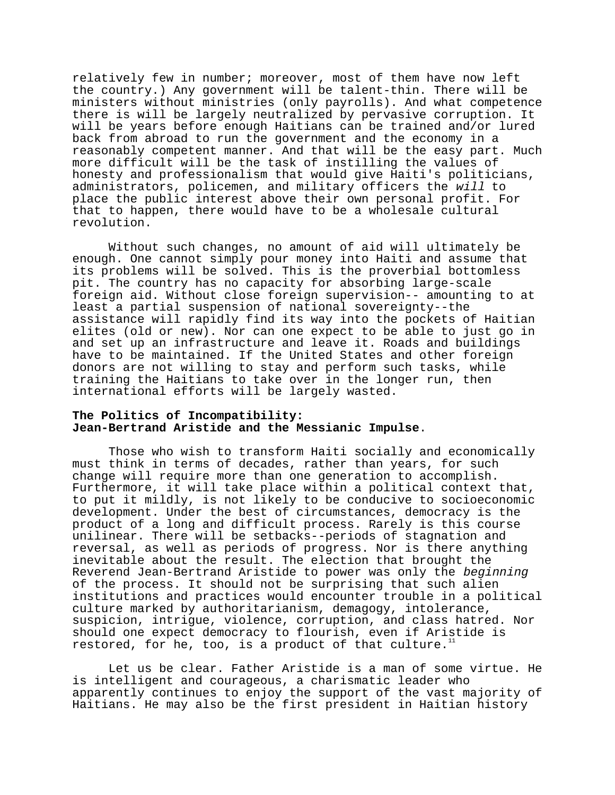relatively few in number; moreover, most of them have now left the country.) Any government will be talent-thin. There will be ministers without ministries (only payrolls). And what competence there is will be largely neutralized by pervasive corruption. It will be years before enough Haitians can be trained and/or lured back from abroad to run the government and the economy in a reasonably competent manner. And that will be the easy part. Much more difficult will be the task of instilling the values of honesty and professionalism that would give Haiti's politicians, administrators, policemen, and military officers the will to place the public interest above their own personal profit. For that to happen, there would have to be a wholesale cultural revolution.

Without such changes, no amount of aid will ultimately be enough. One cannot simply pour money into Haiti and assume that its problems will be solved. This is the proverbial bottomless pit. The country has no capacity for absorbing large-scale foreign aid. Without close foreign supervision-- amounting to at least a partial suspension of national sovereignty--the assistance will rapidly find its way into the pockets of Haitian elites (old or new). Nor can one expect to be able to just go in and set up an infrastructure and leave it. Roads and buildings have to be maintained. If the United States and other foreign donors are not willing to stay and perform such tasks, while training the Haitians to take over in the longer run, then international efforts will be largely wasted.

## **The Politics of Incompatibility: Jean-Bertrand Aristide and the Messianic Impulse**.

Those who wish to transform Haiti socially and economically must think in terms of decades, rather than years, for such change will require more than one generation to accomplish. Furthermore, it will take place within a political context that, to put it mildly, is not likely to be conducive to socioeconomic development. Under the best of circumstances, democracy is the product of a long and difficult process. Rarely is this course unilinear. There will be setbacks--periods of stagnation and reversal, as well as periods of progress. Nor is there anything inevitable about the result. The election that brought the Reverend Jean-Bertrand Aristide to power was only the beginning of the process. It should not be surprising that such alien institutions and practices would encounter trouble in a political culture marked by authoritarianism, demagogy, intolerance, suspicion, intrigue, violence, corruption, and class hatred. Nor should one expect democracy to flourish, even if Aristide is restored, for he, too, is a product of that culture.<sup>1</sup>

Let us be clear. Father Aristide is a man of some virtue. He is intelligent and courageous, a charismatic leader who apparently continues to enjoy the support of the vast majority of Haitians. He may also be the first president in Haitian history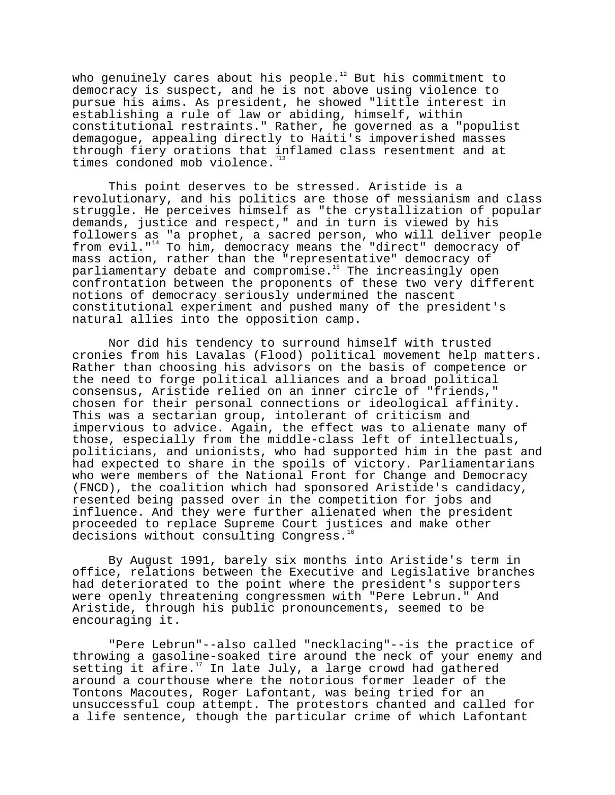who genuinely cares about his people. $12$  But his commitment to democracy is suspect, and he is not above using violence to pursue his aims. As president, he showed "little interest in establishing a rule of law or abiding, himself, within constitutional restraints." Rather, he governed as a "populist demagogue, appealing directly to Haiti's impoverished masses through fiery orations that inflamed class resentment and at times condoned mob violence."13

This point deserves to be stressed. Aristide is a revolutionary, and his politics are those of messianism and class struggle. He perceives himself as "the crystallization of popular demands, justice and respect," and in turn is viewed by his followers as "a prophet, a sacred person, who will deliver people from evil."<sup>14</sup> To him, democracy means the "direct" democracy of mass action, rather than the "representative" democracy of mass assess, issues than the expression compared as parliamentary debate and compromise.<sup>15</sup> The increasingly open confrontation between the proponents of these two very different notions of democracy seriously undermined the nascent constitutional experiment and pushed many of the president's natural allies into the opposition camp.

Nor did his tendency to surround himself with trusted cronies from his Lavalas (Flood) political movement help matters. Rather than choosing his advisors on the basis of competence or the need to forge political alliances and a broad political consensus, Aristide relied on an inner circle of "friends," chosen for their personal connections or ideological affinity. This was a sectarian group, intolerant of criticism and impervious to advice. Again, the effect was to alienate many of those, especially from the middle-class left of intellectuals, politicians, and unionists, who had supported him in the past and had expected to share in the spoils of victory. Parliamentarians who were members of the National Front for Change and Democracy (FNCD), the coalition which had sponsored Aristide's candidacy, resented being passed over in the competition for jobs and influence. And they were further alienated when the president proceeded to replace Supreme Court justices and make other decisions without consulting Congress.<sup>1</sup>

By August 1991, barely six months into Aristide's term in office, relations between the Executive and Legislative branches had deteriorated to the point where the president's supporters were openly threatening congressmen with "Pere Lebrun." And Aristide, through his public pronouncements, seemed to be encouraging it.

"Pere Lebrun"--also called "necklacing"--is the practice of throwing a gasoline-soaked tire around the neck of your enemy and setting it afire.<sup>17</sup> In late July, a large crowd had gathered around a courthouse where the notorious former leader of the Tontons Macoutes, Roger Lafontant, was being tried for an unsuccessful coup attempt. The protestors chanted and called for a life sentence, though the particular crime of which Lafontant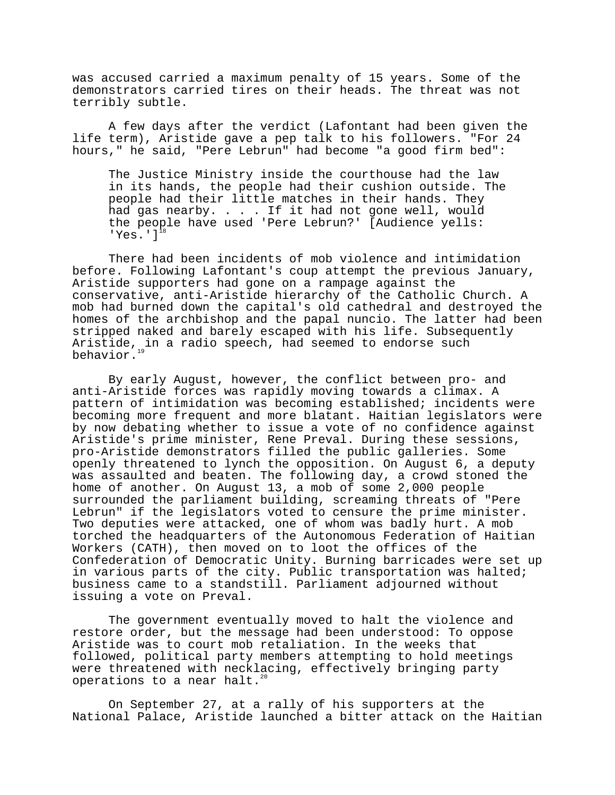was accused carried a maximum penalty of 15 years. Some of the demonstrators carried tires on their heads. The threat was not terribly subtle.

A few days after the verdict (Lafontant had been given the life term), Aristide gave a pep talk to his followers. "For 24 hours," he said, "Pere Lebrun" had become "a good firm bed":

The Justice Ministry inside the courthouse had the law in its hands, the people had their cushion outside. The people had their little matches in their hands. They had gas nearby. . . . If it had not gone well, would the people have used 'Pere Lebrun?' [Audience yells: 'Yes.' $]$ <sup>1</sup>

There had been incidents of mob violence and intimidation before. Following Lafontant's coup attempt the previous January, Aristide supporters had gone on a rampage against the conservative, anti-Aristide hierarchy of the Catholic Church. A mob had burned down the capital's old cathedral and destroyed the homes of the archbishop and the papal nuncio. The latter had been stripped naked and barely escaped with his life. Subsequently Aristide, in a radio speech, had seemed to endorse such behavior.

By early August, however, the conflict between pro- and anti-Aristide forces was rapidly moving towards a climax. A pattern of intimidation was becoming established; incidents were becoming more frequent and more blatant. Haitian legislators were by now debating whether to issue a vote of no confidence against Aristide's prime minister, Rene Preval. During these sessions, pro-Aristide demonstrators filled the public galleries. Some openly threatened to lynch the opposition. On August 6, a deputy was assaulted and beaten. The following day, a crowd stoned the home of another. On August 13, a mob of some 2,000 people surrounded the parliament building, screaming threats of "Pere Lebrun" if the legislators voted to censure the prime minister. Two deputies were attacked, one of whom was badly hurt. A mob torched the headquarters of the Autonomous Federation of Haitian Workers (CATH), then moved on to loot the offices of the Confederation of Democratic Unity. Burning barricades were set up in various parts of the city. Public transportation was halted; business came to a standstill. Parliament adjourned without issuing a vote on Preval.

The government eventually moved to halt the violence and restore order, but the message had been understood: To oppose Aristide was to court mob retaliation. In the weeks that followed, political party members attempting to hold meetings were threatened with necklacing, effectively bringing party operations to a near halt.<sup>2</sup>

On September 27, at a rally of his supporters at the National Palace, Aristide launched a bitter attack on the Haitian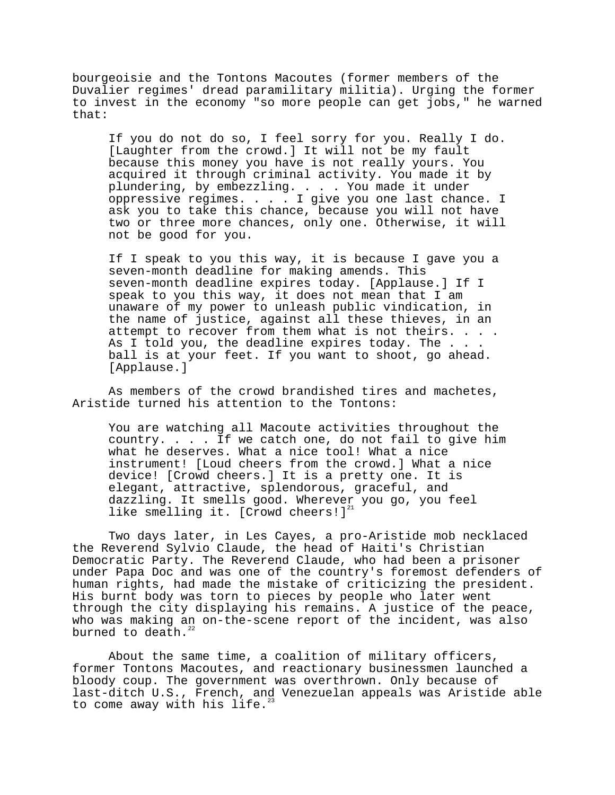bourgeoisie and the Tontons Macoutes (former members of the Duvalier regimes' dread paramilitary militia). Urging the former to invest in the economy "so more people can get jobs," he warned that:

If you do not do so, I feel sorry for you. Really I do. [Laughter from the crowd.] It will not be my fault because this money you have is not really yours. You acquired it through criminal activity. You made it by plundering, by embezzling. . . . You made it under oppressive regimes. . . . I give you one last chance. I ask you to take this chance, because you will not have two or three more chances, only one. Otherwise, it will not be good for you.

If I speak to you this way, it is because I gave you a seven-month deadline for making amends. This seven-month deadline expires today. [Applause.] If I speak to you this way, it does not mean that I am unaware of my power to unleash public vindication, in the name of justice, against all these thieves, in an attempt to recover from them what is not theirs. . . . As I told you, the deadline expires today. The . . . ball is at your feet. If you want to shoot, go ahead. [Applause.]

As members of the crowd brandished tires and machetes, Aristide turned his attention to the Tontons:

You are watching all Macoute activities throughout the country. . . . If we catch one, do not fail to give him what he deserves. What a nice tool! What a nice instrument! [Loud cheers from the crowd.] What a nice device! [Crowd cheers.] It is a pretty one. It is elegant, attractive, splendorous, graceful, and dazzling. It smells good. Wherever you go, you feel like smelling it. [Crowd cheers!] $^{21}$ 

Two days later, in Les Cayes, a pro-Aristide mob necklaced the Reverend Sylvio Claude, the head of Haiti's Christian Democratic Party. The Reverend Claude, who had been a prisoner under Papa Doc and was one of the country's foremost defenders of human rights, had made the mistake of criticizing the president. His burnt body was torn to pieces by people who later went through the city displaying his remains. A justice of the peace, who was making an on-the-scene report of the incident, was also burned to death.<sup>2</sup>

About the same time, a coalition of military officers, former Tontons Macoutes, and reactionary businessmen launched a bloody coup. The government was overthrown. Only because of last-ditch U.S., French, and Venezuelan appeals was Aristide able to come away with his life. $^{2}$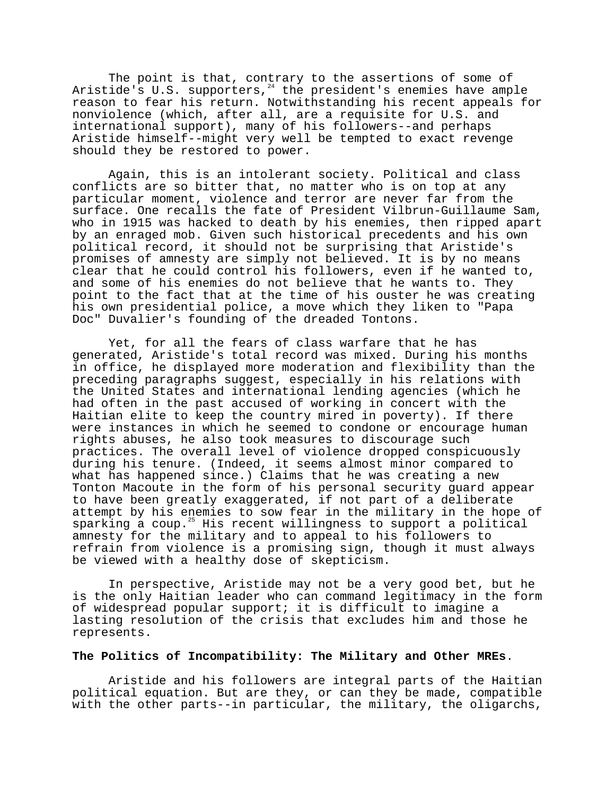The point is that, contrary to the assertions of some of Aristide's U.S. supporters,<sup>24</sup> the president's enemies have ample reason to fear his return. Notwithstanding his recent appeals for nonviolence (which, after all, are a requisite for U.S. and international support), many of his followers--and perhaps Aristide himself--might very well be tempted to exact revenge should they be restored to power.

Again, this is an intolerant society. Political and class conflicts are so bitter that, no matter who is on top at any particular moment, violence and terror are never far from the surface. One recalls the fate of President Vilbrun-Guillaume Sam, who in 1915 was hacked to death by his enemies, then ripped apart by an enraged mob. Given such historical precedents and his own political record, it should not be surprising that Aristide's promises of amnesty are simply not believed. It is by no means clear that he could control his followers, even if he wanted to, and some of his enemies do not believe that he wants to. They point to the fact that at the time of his ouster he was creating his own presidential police, a move which they liken to "Papa Doc" Duvalier's founding of the dreaded Tontons.

Yet, for all the fears of class warfare that he has generated, Aristide's total record was mixed. During his months in office, he displayed more moderation and flexibility than the preceding paragraphs suggest, especially in his relations with the United States and international lending agencies (which he had often in the past accused of working in concert with the Haitian elite to keep the country mired in poverty). If there were instances in which he seemed to condone or encourage human rights abuses, he also took measures to discourage such practices. The overall level of violence dropped conspicuously during his tenure. (Indeed, it seems almost minor compared to what has happened since.) Claims that he was creating a new Tonton Macoute in the form of his personal security guard appear to have been greatly exaggerated, if not part of a deliberate attempt by his enemies to sow fear in the military in the hope of sparking a coup.<sup>25</sup> His recent willingness to support a political amnesty for the military and to appeal to his followers to refrain from violence is a promising sign, though it must always be viewed with a healthy dose of skepticism.

In perspective, Aristide may not be a very good bet, but he is the only Haitian leader who can command legitimacy in the form of widespread popular support; it is difficult to imagine a lasting resolution of the crisis that excludes him and those he represents.

### **The Politics of Incompatibility: The Military and Other MREs**.

Aristide and his followers are integral parts of the Haitian political equation. But are they, or can they be made, compatible with the other parts--in particular, the military, the oligarchs,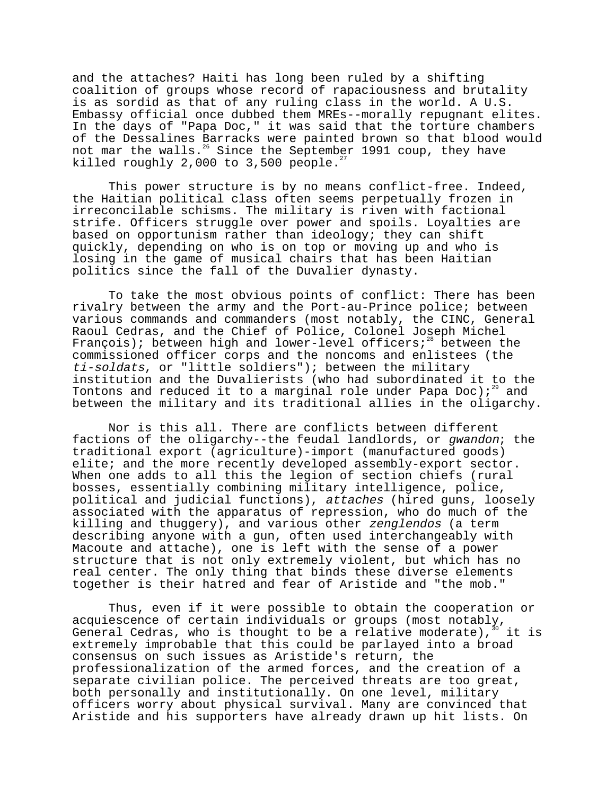and the attaches? Haiti has long been ruled by a shifting coalition of groups whose record of rapaciousness and brutality is as sordid as that of any ruling class in the world. A U.S. Embassy official once dubbed them MREs--morally repugnant elites. In the days of "Papa Doc," it was said that the torture chambers of the Dessalines Barracks were painted brown so that blood would not mar the walls.<sup>26</sup> Since the September 1991 coup, they have killed roughly  $2,000$  to  $3,500$  people.<sup>27</sup>

This power structure is by no means conflict-free. Indeed, the Haitian political class often seems perpetually frozen in irreconcilable schisms. The military is riven with factional strife. Officers struggle over power and spoils. Loyalties are based on opportunism rather than ideology; they can shift quickly, depending on who is on top or moving up and who is losing in the game of musical chairs that has been Haitian politics since the fall of the Duvalier dynasty.

To take the most obvious points of conflict: There has been rivalry between the army and the Port-au-Prince police; between various commands and commanders (most notably, the CINC, General Raoul Cedras, and the Chief of Police, Colonel Joseph Michel François); between high and lower-level officers;<sup>28</sup> between the commissioned officer corps and the noncoms and enlistees (the ti-soldats, or "little soldiers"); between the military institution and the Duvalierists (who had subordinated it to the Tontons and reduced it to a marginal role under Papa Doc);<sup>29</sup> and between the military and its traditional allies in the oligarchy.

Nor is this all. There are conflicts between different factions of the oligarchy--the feudal landlords, or gwandon; the traditional export (agriculture)-import (manufactured goods) elite; and the more recently developed assembly-export sector. When one adds to all this the legion of section chiefs (rural bosses, essentially combining military intelligence, police, political and judicial functions), attaches (hired guns, loosely associated with the apparatus of repression, who do much of the killing and thuggery), and various other zenglendos (a term describing anyone with a gun, often used interchangeably with Macoute and attache), one is left with the sense of a power structure that is not only extremely violent, but which has no real center. The only thing that binds these diverse elements together is their hatred and fear of Aristide and "the mob."

Thus, even if it were possible to obtain the cooperation or acquiescence of certain individuals or groups (most notably, General Cedras, who is thought to be a relative moderate),  $30$  it is extremely improbable that this could be parlayed into a broad consensus on such issues as Aristide's return, the professionalization of the armed forces, and the creation of a separate civilian police. The perceived threats are too great, both personally and institutionally. On one level, military officers worry about physical survival. Many are convinced that Aristide and his supporters have already drawn up hit lists. On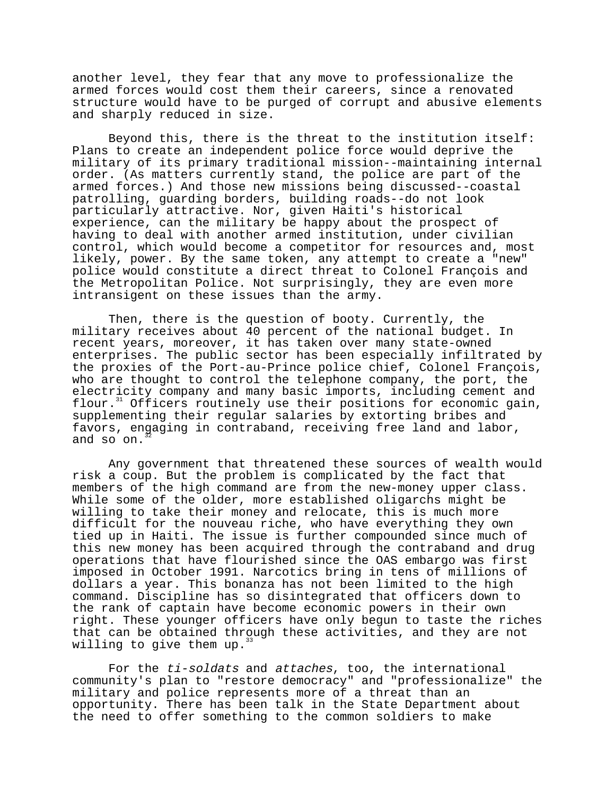another level, they fear that any move to professionalize the armed forces would cost them their careers, since a renovated structure would have to be purged of corrupt and abusive elements and sharply reduced in size.

Beyond this, there is the threat to the institution itself: Plans to create an independent police force would deprive the military of its primary traditional mission--maintaining internal order. (As matters currently stand, the police are part of the armed forces.) And those new missions being discussed--coastal patrolling, guarding borders, building roads--do not look particularly attractive. Nor, given Haiti's historical experience, can the military be happy about the prospect of having to deal with another armed institution, under civilian control, which would become a competitor for resources and, most likely, power. By the same token, any attempt to create a "new" police would constitute a direct threat to Colonel François and the Metropolitan Police. Not surprisingly, they are even more intransigent on these issues than the army.

Then, there is the question of booty. Currently, the military receives about 40 percent of the national budget. In recent years, moreover, it has taken over many state-owned enterprises. The public sector has been especially infiltrated by the proxies of the Port-au-Prince police chief, Colonel François, who are thought to control the telephone company, the port, the electricity company and many basic imports, including cement and flour.<sup>31</sup> Officers routinely use their positions for economic gain, supplementing their regular salaries by extorting bribes and favors, engaging in contraband, receiving free land and labor, and so on.

Any government that threatened these sources of wealth would risk a coup. But the problem is complicated by the fact that members of the high command are from the new-money upper class. While some of the older, more established oligarchs might be willing to take their money and relocate, this is much more difficult for the nouveau riche, who have everything they own tied up in Haiti. The issue is further compounded since much of this new money has been acquired through the contraband and drug operations that have flourished since the OAS embargo was first imposed in October 1991. Narcotics bring in tens of millions of dollars a year. This bonanza has not been limited to the high command. Discipline has so disintegrated that officers down to the rank of captain have become economic powers in their own right. These younger officers have only begun to taste the riches that can be obtained through these activities, and they are not willing to give them up.<sup>3</sup>

For the ti-soldats and attaches, too, the international community's plan to "restore democracy" and "professionalize" the military and police represents more of a threat than an opportunity. There has been talk in the State Department about the need to offer something to the common soldiers to make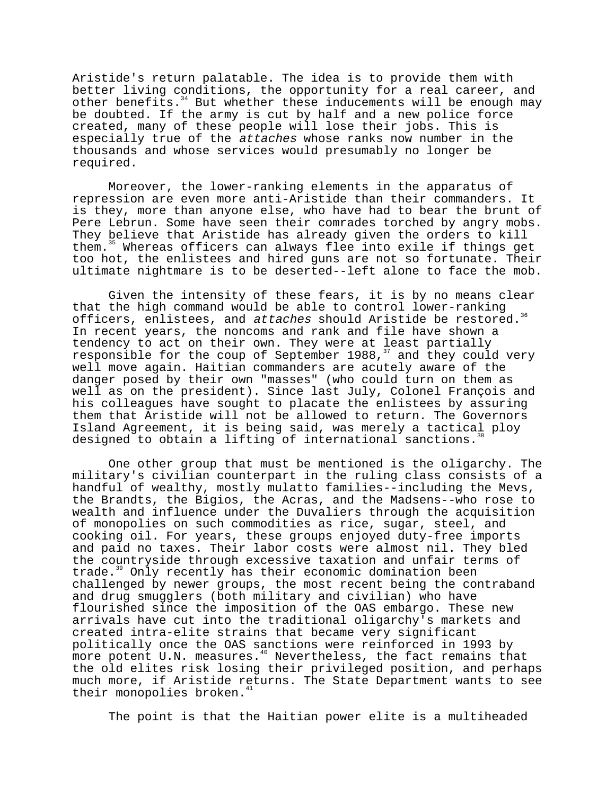Aristide's return palatable. The idea is to provide them with better living conditions, the opportunity for a real career, and other benefits.<sup>34</sup> But whether these inducements will be enough may be doubted. If the army is cut by half and a new police force created, many of these people will lose their jobs. This is especially true of the attaches whose ranks now number in the thousands and whose services would presumably no longer be required.

Moreover, the lower-ranking elements in the apparatus of repression are even more anti-Aristide than their commanders. It is they, more than anyone else, who have had to bear the brunt of Pere Lebrun. Some have seen their comrades torched by angry mobs. They believe that Aristide has already given the orders to kill them.<sup>35</sup> Whereas officers can always flee into exile if things get too hot, the enlistees and hired guns are not so fortunate. Their ultimate nightmare is to be deserted--left alone to face the mob.

Given the intensity of these fears, it is by no means clear that the high command would be able to control lower-ranking officers, enlistees, and attaches should Aristide be restored.<sup>36</sup> In recent years, the noncoms and rank and file have shown a tendency to act on their own. They were at least partially responsible for the coup of September 1988, $^{37}$  and they could very well move again. Haitian commanders are acutely aware of the danger posed by their own "masses" (who could turn on them as well as on the president). Since last July, Colonel François and his colleagues have sought to placate the enlistees by assuring them that Aristide will not be allowed to return. The Governors Island Agreement, it is being said, was merely a tactical ploy designed to obtain a lifting of international sanctions.

One other group that must be mentioned is the oligarchy. The military's civilian counterpart in the ruling class consists of a handful of wealthy, mostly mulatto families--including the Mevs, the Brandts, the Bigios, the Acras, and the Madsens--who rose to wealth and influence under the Duvaliers through the acquisition of monopolies on such commodities as rice, sugar, steel, and cooking oil. For years, these groups enjoyed duty-free imports and paid no taxes. Their labor costs were almost nil. They bled the countryside through excessive taxation and unfair terms of trade.<sup>39</sup> Only recently has their economic domination been challenged by newer groups, the most recent being the contraband and drug smugglers (both military and civilian) who have flourished since the imposition of the OAS embargo. These new arrivals have cut into the traditional oligarchy's markets and created intra-elite strains that became very significant politically once the OAS sanctions were reinforced in 1993 by more potent U.N. measures.<sup>40</sup> Nevertheless, the fact remains that the old elites risk losing their privileged position, and perhaps much more, if Aristide returns. The State Department wants to see their monopolies broken.<sup>41</sup>

The point is that the Haitian power elite is a multiheaded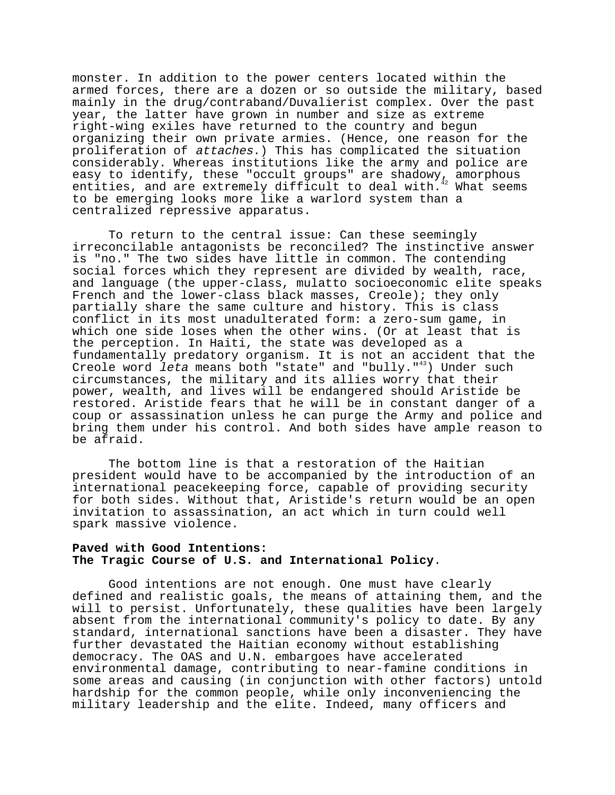monster. In addition to the power centers located within the armed forces, there are a dozen or so outside the military, based mainly in the drug/contraband/Duvalierist complex. Over the past year, the latter have grown in number and size as extreme right-wing exiles have returned to the country and begun organizing their own private armies. (Hence, one reason for the proliferation of attaches.) This has complicated the situation considerably. Whereas institutions like the army and police are easy to identify, these "occult groups" are shadowy, amorphous entities, and are extremely difficult to deal with. $42$  What seems to be emerging looks more like a warlord system than a centralized repressive apparatus.

To return to the central issue: Can these seemingly irreconcilable antagonists be reconciled? The instinctive answer is "no." The two sides have little in common. The contending social forces which they represent are divided by wealth, race, and language (the upper-class, mulatto socioeconomic elite speaks French and the lower-class black masses, Creole); they only partially share the same culture and history. This is class conflict in its most unadulterated form: a zero-sum game, in which one side loses when the other wins. (Or at least that is the perception. In Haiti, the state was developed as a fundamentally predatory organism. It is not an accident that the Creole word leta means both "state" and "bully." $43$ ) Under such circumstances, the military and its allies worry that their power, wealth, and lives will be endangered should Aristide be restored. Aristide fears that he will be in constant danger of a coup or assassination unless he can purge the Army and police and bring them under his control. And both sides have ample reason to be afraid.

The bottom line is that a restoration of the Haitian president would have to be accompanied by the introduction of an international peacekeeping force, capable of providing security for both sides. Without that, Aristide's return would be an open invitation to assassination, an act which in turn could well spark massive violence.

## **Paved with Good Intentions: The Tragic Course of U.S. and International Policy**.

Good intentions are not enough. One must have clearly defined and realistic goals, the means of attaining them, and the will to persist. Unfortunately, these qualities have been largely absent from the international community's policy to date. By any standard, international sanctions have been a disaster. They have further devastated the Haitian economy without establishing democracy. The OAS and U.N. embargoes have accelerated environmental damage, contributing to near-famine conditions in some areas and causing (in conjunction with other factors) untold hardship for the common people, while only inconveniencing the military leadership and the elite. Indeed, many officers and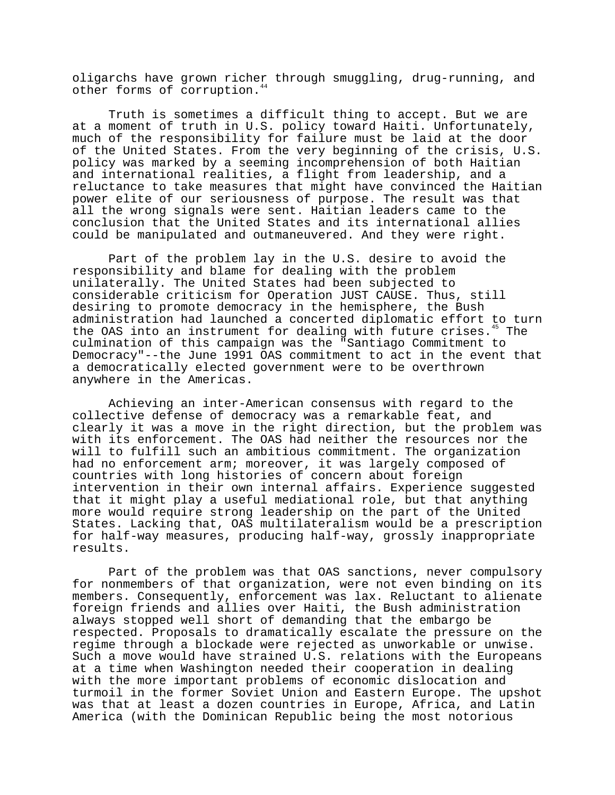oligarchs have grown richer through smuggling, drug-running, and other forms of corruption.<sup>4</sup>

Truth is sometimes a difficult thing to accept. But we are at a moment of truth in U.S. policy toward Haiti. Unfortunately, much of the responsibility for failure must be laid at the door of the United States. From the very beginning of the crisis, U.S. policy was marked by a seeming incomprehension of both Haitian and international realities, a flight from leadership, and a reluctance to take measures that might have convinced the Haitian power elite of our seriousness of purpose. The result was that all the wrong signals were sent. Haitian leaders came to the conclusion that the United States and its international allies could be manipulated and outmaneuvered. And they were right.

Part of the problem lay in the U.S. desire to avoid the responsibility and blame for dealing with the problem unilaterally. The United States had been subjected to considerable criticism for Operation JUST CAUSE. Thus, still desiring to promote democracy in the hemisphere, the Bush administration had launched a concerted diplomatic effort to turn the OAS into an instrument for dealing with future crises.<sup>45</sup> The culmination of this campaign was the "Santiago Commitment to Democracy"--the June 1991 OAS commitment to act in the event that a democratically elected government were to be overthrown anywhere in the Americas.

Achieving an inter-American consensus with regard to the collective defense of democracy was a remarkable feat, and clearly it was a move in the right direction, but the problem was with its enforcement. The OAS had neither the resources nor the will to fulfill such an ambitious commitment. The organization had no enforcement arm; moreover, it was largely composed of countries with long histories of concern about foreign intervention in their own internal affairs. Experience suggested that it might play a useful mediational role, but that anything more would require strong leadership on the part of the United States. Lacking that, OAS multilateralism would be a prescription for half-way measures, producing half-way, grossly inappropriate results.

Part of the problem was that OAS sanctions, never compulsory for nonmembers of that organization, were not even binding on its members. Consequently, enforcement was lax. Reluctant to alienate foreign friends and allies over Haiti, the Bush administration always stopped well short of demanding that the embargo be respected. Proposals to dramatically escalate the pressure on the regime through a blockade were rejected as unworkable or unwise. Such a move would have strained U.S. relations with the Europeans at a time when Washington needed their cooperation in dealing with the more important problems of economic dislocation and turmoil in the former Soviet Union and Eastern Europe. The upshot was that at least a dozen countries in Europe, Africa, and Latin America (with the Dominican Republic being the most notorious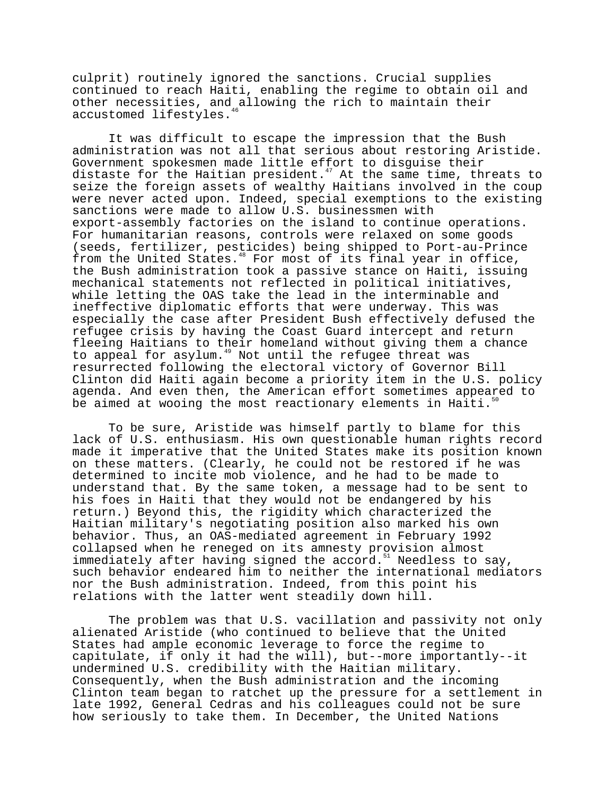culprit) routinely ignored the sanctions. Crucial supplies continued to reach Haiti, enabling the regime to obtain oil and other necessities, and allowing the rich to maintain their accustomed lifestyles.<sup>4</sup>

It was difficult to escape the impression that the Bush administration was not all that serious about restoring Aristide. Government spokesmen made little effort to disguise their distaste for the Haitian president.<sup>47</sup> At the same time, threats to seize the foreign assets of wealthy Haitians involved in the coup were never acted upon. Indeed, special exemptions to the existing sanctions were made to allow U.S. businessmen with export-assembly factories on the island to continue operations. For humanitarian reasons, controls were relaxed on some goods (seeds, fertilizer, pesticides) being shipped to Port-au-Prince from the United States.<sup>48</sup> For most of its final year in office, the Bush administration took a passive stance on Haiti, issuing mechanical statements not reflected in political initiatives, while letting the OAS take the lead in the interminable and ineffective diplomatic efforts that were underway. This was especially the case after President Bush effectively defused the refugee crisis by having the Coast Guard intercept and return fleeing Haitians to their homeland without giving them a chance to appeal for asylum.<sup>49</sup> Not until the refugee threat was resurrected following the electoral victory of Governor Bill Clinton did Haiti again become a priority item in the U.S. policy agenda. And even then, the American effort sometimes appeared to be aimed at wooing the most reactionary elements in Haiti. $5$ 

To be sure, Aristide was himself partly to blame for this lack of U.S. enthusiasm. His own questionable human rights record made it imperative that the United States make its position known on these matters. (Clearly, he could not be restored if he was determined to incite mob violence, and he had to be made to understand that. By the same token, a message had to be sent to his foes in Haiti that they would not be endangered by his return.) Beyond this, the rigidity which characterized the Haitian military's negotiating position also marked his own behavior. Thus, an OAS-mediated agreement in February 1992 collapsed when he reneged on its amnesty provision almost immediately after having signed the accord. $51$  Needless to say, such behavior endeared him to neither the international mediators nor the Bush administration. Indeed, from this point his relations with the latter went steadily down hill.

The problem was that U.S. vacillation and passivity not only alienated Aristide (who continued to believe that the United States had ample economic leverage to force the regime to capitulate, if only it had the will), but--more importantly--it undermined U.S. credibility with the Haitian military. Consequently, when the Bush administration and the incoming Clinton team began to ratchet up the pressure for a settlement in late 1992, General Cedras and his colleagues could not be sure how seriously to take them. In December, the United Nations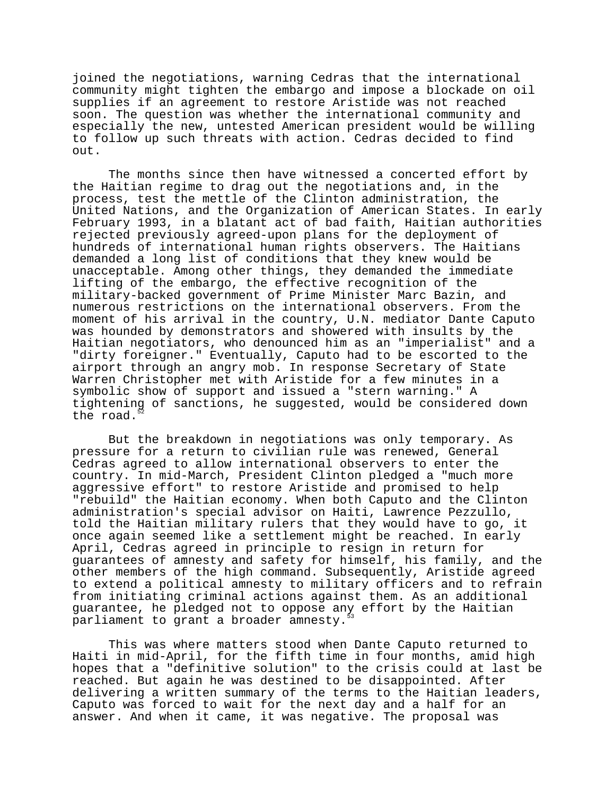joined the negotiations, warning Cedras that the international community might tighten the embargo and impose a blockade on oil supplies if an agreement to restore Aristide was not reached soon. The question was whether the international community and especially the new, untested American president would be willing to follow up such threats with action. Cedras decided to find out.

The months since then have witnessed a concerted effort by the Haitian regime to drag out the negotiations and, in the process, test the mettle of the Clinton administration, the United Nations, and the Organization of American States. In early February 1993, in a blatant act of bad faith, Haitian authorities rejected previously agreed-upon plans for the deployment of hundreds of international human rights observers. The Haitians demanded a long list of conditions that they knew would be unacceptable. Among other things, they demanded the immediate lifting of the embargo, the effective recognition of the military-backed government of Prime Minister Marc Bazin, and numerous restrictions on the international observers. From the moment of his arrival in the country, U.N. mediator Dante Caputo was hounded by demonstrators and showered with insults by the Haitian negotiators, who denounced him as an "imperialist" and a "dirty foreigner." Eventually, Caputo had to be escorted to the airport through an angry mob. In response Secretary of State Warren Christopher met with Aristide for a few minutes in a symbolic show of support and issued a "stern warning." A tightening of sanctions, he suggested, would be considered down the road.

But the breakdown in negotiations was only temporary. As pressure for a return to civilian rule was renewed, General Cedras agreed to allow international observers to enter the country. In mid-March, President Clinton pledged a "much more aggressive effort" to restore Aristide and promised to help "rebuild" the Haitian economy. When both Caputo and the Clinton administration's special advisor on Haiti, Lawrence Pezzullo, told the Haitian military rulers that they would have to go, it once again seemed like a settlement might be reached. In early April, Cedras agreed in principle to resign in return for guarantees of amnesty and safety for himself, his family, and the other members of the high command. Subsequently, Aristide agreed to extend a political amnesty to military officers and to refrain from initiating criminal actions against them. As an additional guarantee, he pledged not to oppose any effort by the Haitian parliament to grant a broader amnesty.

This was where matters stood when Dante Caputo returned to Haiti in mid-April, for the fifth time in four months, amid high hopes that a "definitive solution" to the crisis could at last be reached. But again he was destined to be disappointed. After delivering a written summary of the terms to the Haitian leaders, Caputo was forced to wait for the next day and a half for an answer. And when it came, it was negative. The proposal was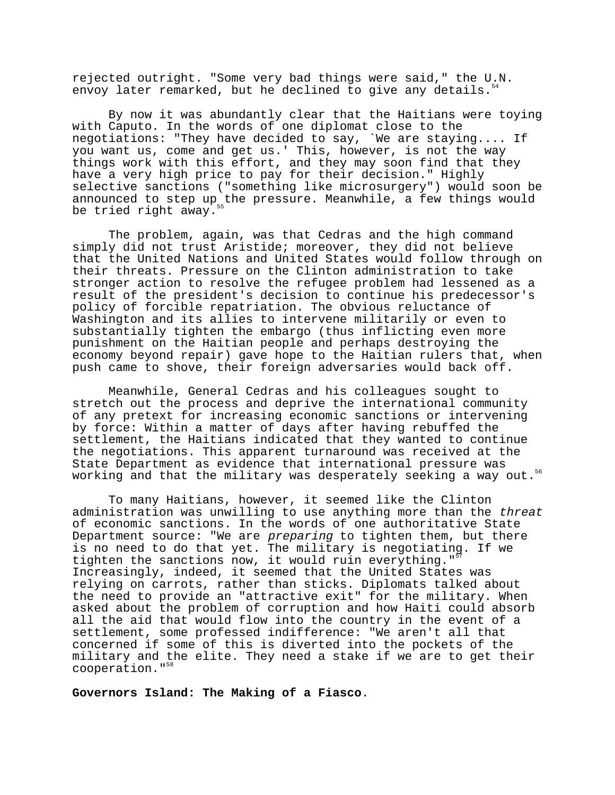rejected outright. "Some very bad things were said," the U.N. envoy later remarked, but he declined to give any details.<sup>54</sup>

By now it was abundantly clear that the Haitians were toying with Caputo. In the words of one diplomat close to the negotiations: "They have decided to say, `We are staying.... If you want us, come and get us.' This, however, is not the way things work with this effort, and they may soon find that they have a very high price to pay for their decision." Highly selective sanctions ("something like microsurgery") would soon be announced to step up the pressure. Meanwhile, a few things would be tried right away.<sup>5</sup>

The problem, again, was that Cedras and the high command simply did not trust Aristide; moreover, they did not believe that the United Nations and United States would follow through on their threats. Pressure on the Clinton administration to take stronger action to resolve the refugee problem had lessened as a result of the president's decision to continue his predecessor's policy of forcible repatriation. The obvious reluctance of Washington and its allies to intervene militarily or even to substantially tighten the embargo (thus inflicting even more punishment on the Haitian people and perhaps destroying the economy beyond repair) gave hope to the Haitian rulers that, when push came to shove, their foreign adversaries would back off.

Meanwhile, General Cedras and his colleagues sought to stretch out the process and deprive the international community of any pretext for increasing economic sanctions or intervening by force: Within a matter of days after having rebuffed the settlement, the Haitians indicated that they wanted to continue the negotiations. This apparent turnaround was received at the State Department as evidence that international pressure was working and that the military was desperately seeking a way out.<sup>56</sup>

To many Haitians, however, it seemed like the Clinton administration was unwilling to use anything more than the threat of economic sanctions. In the words of one authoritative State Department source: "We are preparing to tighten them, but there is no need to do that yet. The military is negotiating. If we tighten the sanctions now, it would ruin everything." Increasingly, indeed, it seemed that the United States was relying on carrots, rather than sticks. Diplomats talked about the need to provide an "attractive exit" for the military. When asked about the problem of corruption and how Haiti could absorb all the aid that would flow into the country in the event of a settlement, some professed indifference: "We aren't all that concerned if some of this is diverted into the pockets of the military and the elite. They need a stake if we are to get their cooperation."<sup>58</sup>

**Governors Island: The Making of a Fiasco**.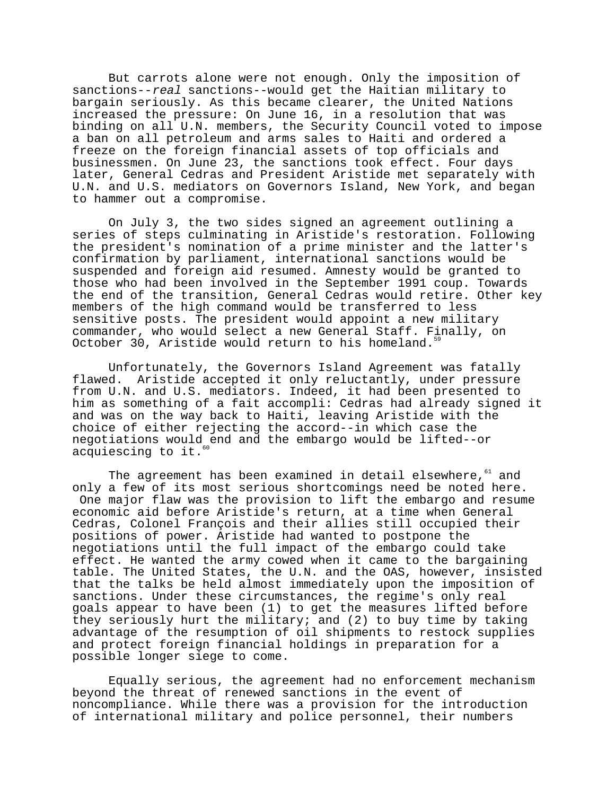But carrots alone were not enough. Only the imposition of sanctions--real sanctions--would get the Haitian military to bargain seriously. As this became clearer, the United Nations increased the pressure: On June 16, in a resolution that was binding on all U.N. members, the Security Council voted to impose a ban on all petroleum and arms sales to Haiti and ordered a freeze on the foreign financial assets of top officials and businessmen. On June 23, the sanctions took effect. Four days later, General Cedras and President Aristide met separately with U.N. and U.S. mediators on Governors Island, New York, and began to hammer out a compromise.

On July 3, the two sides signed an agreement outlining a series of steps culminating in Aristide's restoration. Following the president's nomination of a prime minister and the latter's confirmation by parliament, international sanctions would be suspended and foreign aid resumed. Amnesty would be granted to those who had been involved in the September 1991 coup. Towards the end of the transition, General Cedras would retire. Other key members of the high command would be transferred to less sensitive posts. The president would appoint a new military commander, who would select a new General Staff. Finally, on October 30, Aristide would return to his homeland.<sup>5</sup>

Unfortunately, the Governors Island Agreement was fatally flawed. Aristide accepted it only reluctantly, under pressure from U.N. and U.S. mediators. Indeed, it had been presented to him as something of a fait accompli: Cedras had already signed it and was on the way back to Haiti, leaving Aristide with the choice of either rejecting the accord--in which case the negotiations would end and the embargo would be lifted--or acquiescing to it.<sup>6</sup>

The agreement has been examined in detail elsewhere, $61$  and only a few of its most serious shortcomings need be noted here. One major flaw was the provision to lift the embargo and resume economic aid before Aristide's return, at a time when General Cedras, Colonel François and their allies still occupied their positions of power. Aristide had wanted to postpone the negotiations until the full impact of the embargo could take effect. He wanted the army cowed when it came to the bargaining table. The United States, the U.N. and the OAS, however, insisted that the talks be held almost immediately upon the imposition of sanctions. Under these circumstances, the regime's only real goals appear to have been (1) to get the measures lifted before they seriously hurt the military; and (2) to buy time by taking advantage of the resumption of oil shipments to restock supplies and protect foreign financial holdings in preparation for a possible longer siege to come.

Equally serious, the agreement had no enforcement mechanism beyond the threat of renewed sanctions in the event of noncompliance. While there was a provision for the introduction of international military and police personnel, their numbers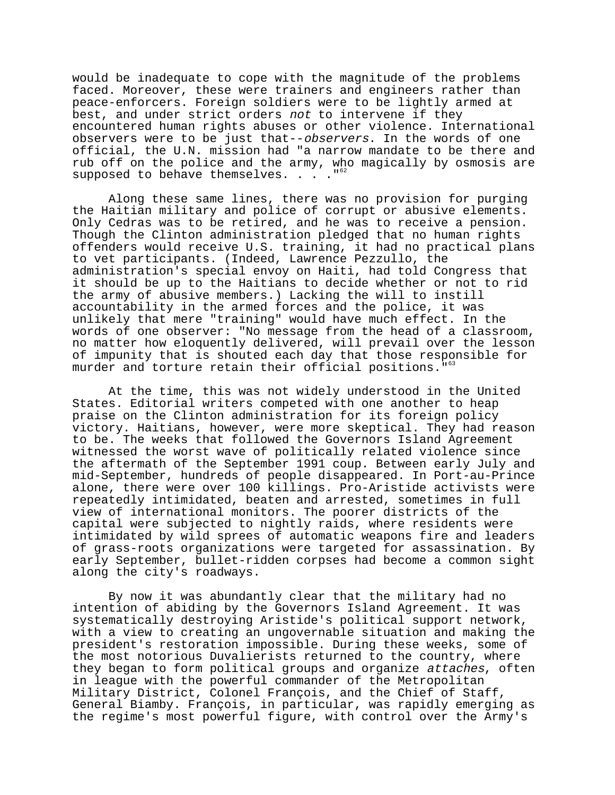would be inadequate to cope with the magnitude of the problems faced. Moreover, these were trainers and engineers rather than peace-enforcers. Foreign soldiers were to be lightly armed at best, and under strict orders not to intervene if they encountered human rights abuses or other violence. International observers were to be just that--observers. In the words of one official, the U.N. mission had "a narrow mandate to be there and rub off on the police and the army, who magically by osmosis are supposed to behave themselves.  $\ldots$ ."<sup>62</sup>

Along these same lines, there was no provision for purging the Haitian military and police of corrupt or abusive elements. Only Cedras was to be retired, and he was to receive a pension. Though the Clinton administration pledged that no human rights offenders would receive U.S. training, it had no practical plans to vet participants. (Indeed, Lawrence Pezzullo, the administration's special envoy on Haiti, had told Congress that it should be up to the Haitians to decide whether or not to rid the army of abusive members.) Lacking the will to instill accountability in the armed forces and the police, it was unlikely that mere "training" would have much effect. In the words of one observer: "No message from the head of a classroom, no matter how eloquently delivered, will prevail over the lesson of impunity that is shouted each day that those responsible for murder and torture retain their official positions."<sup>6</sup>

At the time, this was not widely understood in the United States. Editorial writers competed with one another to heap praise on the Clinton administration for its foreign policy victory. Haitians, however, were more skeptical. They had reason to be. The weeks that followed the Governors Island Agreement witnessed the worst wave of politically related violence since the aftermath of the September 1991 coup. Between early July and mid-September, hundreds of people disappeared. In Port-au-Prince alone, there were over 100 killings. Pro-Aristide activists were repeatedly intimidated, beaten and arrested, sometimes in full view of international monitors. The poorer districts of the capital were subjected to nightly raids, where residents were intimidated by wild sprees of automatic weapons fire and leaders of grass-roots organizations were targeted for assassination. By early September, bullet-ridden corpses had become a common sight along the city's roadways.

By now it was abundantly clear that the military had no intention of abiding by the Governors Island Agreement. It was systematically destroying Aristide's political support network, with a view to creating an ungovernable situation and making the president's restoration impossible. During these weeks, some of the most notorious Duvalierists returned to the country, where they began to form political groups and organize attaches, often in league with the powerful commander of the Metropolitan Military District, Colonel François, and the Chief of Staff, General Biamby. François, in particular, was rapidly emerging as the regime's most powerful figure, with control over the Army's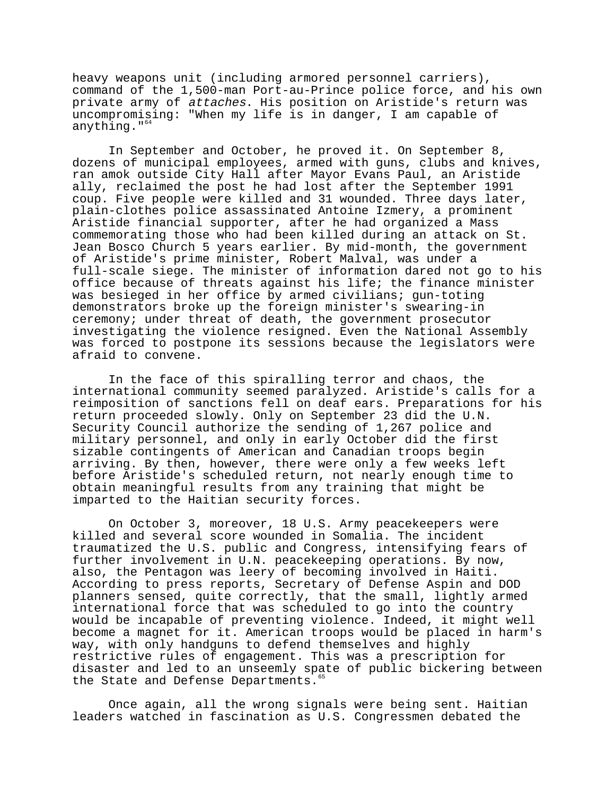heavy weapons unit (including armored personnel carriers), command of the 1,500-man Port-au-Prince police force, and his own private army of attaches. His position on Aristide's return was uncompromising: "When my life is in danger, I am capable of anything."<sup>64</sup>

In September and October, he proved it. On September 8, dozens of municipal employees, armed with guns, clubs and knives, ran amok outside City Hall after Mayor Evans Paul, an Aristide ally, reclaimed the post he had lost after the September 1991 coup. Five people were killed and 31 wounded. Three days later, plain-clothes police assassinated Antoine Izmery, a prominent Aristide financial supporter, after he had organized a Mass commemorating those who had been killed during an attack on St. Jean Bosco Church 5 years earlier. By mid-month, the government of Aristide's prime minister, Robert Malval, was under a full-scale siege. The minister of information dared not go to his office because of threats against his life; the finance minister was besieged in her office by armed civilians; gun-toting demonstrators broke up the foreign minister's swearing-in ceremony; under threat of death, the government prosecutor investigating the violence resigned. Even the National Assembly was forced to postpone its sessions because the legislators were afraid to convene.

In the face of this spiralling terror and chaos, the international community seemed paralyzed. Aristide's calls for a reimposition of sanctions fell on deaf ears. Preparations for his return proceeded slowly. Only on September 23 did the U.N. Security Council authorize the sending of 1,267 police and military personnel, and only in early October did the first sizable contingents of American and Canadian troops begin arriving. By then, however, there were only a few weeks left before Aristide's scheduled return, not nearly enough time to obtain meaningful results from any training that might be imparted to the Haitian security forces.

On October 3, moreover, 18 U.S. Army peacekeepers were killed and several score wounded in Somalia. The incident traumatized the U.S. public and Congress, intensifying fears of further involvement in U.N. peacekeeping operations. By now, also, the Pentagon was leery of becoming involved in Haiti. According to press reports, Secretary of Defense Aspin and DOD planners sensed, quite correctly, that the small, lightly armed international force that was scheduled to go into the country would be incapable of preventing violence. Indeed, it might well become a magnet for it. American troops would be placed in harm's way, with only handguns to defend themselves and highly restrictive rules of engagement. This was a prescription for disaster and led to an unseemly spate of public bickering between the State and Defense Departments.<sup>6</sup>

Once again, all the wrong signals were being sent. Haitian leaders watched in fascination as U.S. Congressmen debated the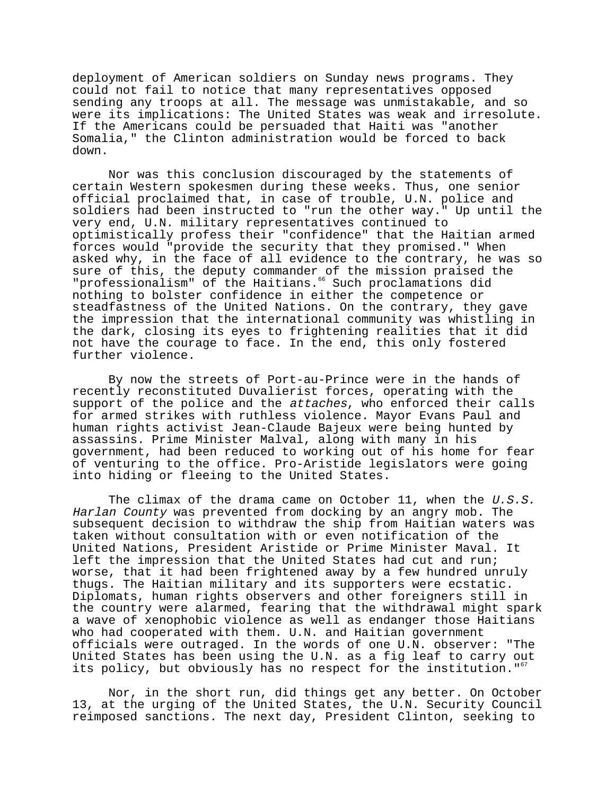deployment of American soldiers on Sunday news programs. They could not fail to notice that many representatives opposed sending any troops at all. The message was unmistakable, and so were its implications: The United States was weak and irresolute. If the Americans could be persuaded that Haiti was "another Somalia," the Clinton administration would be forced to back down.

Nor was this conclusion discouraged by the statements of certain Western spokesmen during these weeks. Thus, one senior official proclaimed that, in case of trouble, U.N. police and soldiers had been instructed to "run the other way." Up until the very end, U.N. military representatives continued to optimistically profess their "confidence" that the Haitian armed forces would "provide the security that they promised." When asked why, in the face of all evidence to the contrary, he was so sure of this, the deputy commander of the mission praised the "professionalism" of the Haitians.<sup>66</sup> Such proclamations did nothing to bolster confidence in either the competence or steadfastness of the United Nations. On the contrary, they gave the impression that the international community was whistling in the dark, closing its eyes to frightening realities that it did not have the courage to face. In the end, this only fostered further violence.

By now the streets of Port-au-Prince were in the hands of recently reconstituted Duvalierist forces, operating with the support of the police and the attaches, who enforced their calls for armed strikes with ruthless violence. Mayor Evans Paul and human rights activist Jean-Claude Bajeux were being hunted by assassins. Prime Minister Malval, along with many in his government, had been reduced to working out of his home for fear of venturing to the office. Pro-Aristide legislators were going into hiding or fleeing to the United States.

The climax of the drama came on October 11, when the U.S.S. Harlan County was prevented from docking by an angry mob. The subsequent decision to withdraw the ship from Haitian waters was taken without consultation with or even notification of the United Nations, President Aristide or Prime Minister Maval. It left the impression that the United States had cut and run; worse, that it had been frightened away by a few hundred unruly thugs. The Haitian military and its supporters were ecstatic. Diplomats, human rights observers and other foreigners still in the country were alarmed, fearing that the withdrawal might spark a wave of xenophobic violence as well as endanger those Haitians who had cooperated with them. U.N. and Haitian government officials were outraged. In the words of one U.N. observer: "The United States has been using the U.N. as a fig leaf to carry out its policy, but obviously has no respect for the institution."<sup>67</sup>

Nor, in the short run, did things get any better. On October 13, at the urging of the United States, the U.N. Security Council reimposed sanctions. The next day, President Clinton, seeking to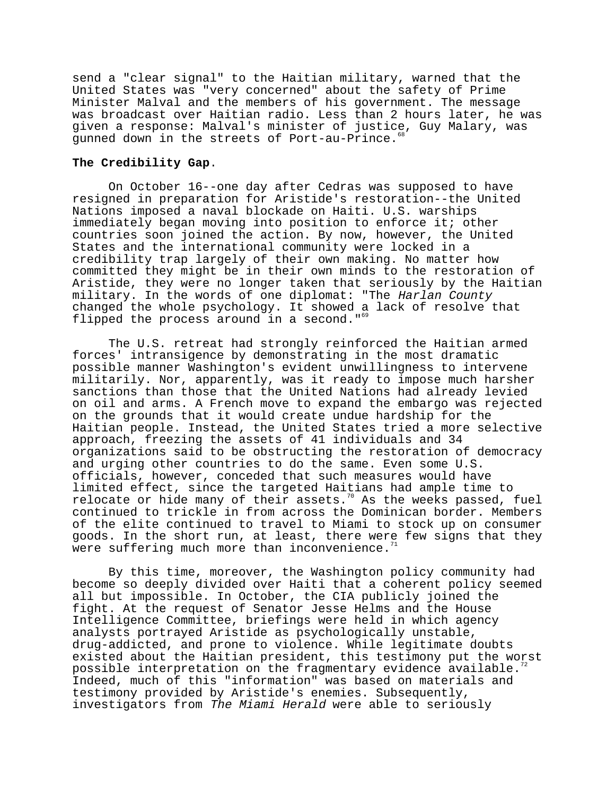send a "clear signal" to the Haitian military, warned that the United States was "very concerned" about the safety of Prime Minister Malval and the members of his government. The message was broadcast over Haitian radio. Less than 2 hours later, he was given a response: Malval's minister of justice, Guy Malary, was gunned down in the streets of Port-au-Prince.

## **The Credibility Gap**.

On October 16--one day after Cedras was supposed to have resigned in preparation for Aristide's restoration--the United Nations imposed a naval blockade on Haiti. U.S. warships immediately began moving into position to enforce it; other countries soon joined the action. By now, however, the United States and the international community were locked in a credibility trap largely of their own making. No matter how committed they might be in their own minds to the restoration of Aristide, they were no longer taken that seriously by the Haitian military. In the words of one diplomat: "The Harlan County changed the whole psychology. It showed a lack of resolve that flipped the process around in a second."<sup>6</sup>

The U.S. retreat had strongly reinforced the Haitian armed forces' intransigence by demonstrating in the most dramatic possible manner Washington's evident unwillingness to intervene militarily. Nor, apparently, was it ready to impose much harsher sanctions than those that the United Nations had already levied on oil and arms. A French move to expand the embargo was rejected on the grounds that it would create undue hardship for the Haitian people. Instead, the United States tried a more selective approach, freezing the assets of 41 individuals and 34 organizations said to be obstructing the restoration of democracy and urging other countries to do the same. Even some U.S. officials, however, conceded that such measures would have limited effect, since the targeted Haitians had ample time to relocate or hide many of their assets.<sup>70</sup> As the weeks passed, fuel continued to trickle in from across the Dominican border. Members of the elite continued to travel to Miami to stock up on consumer goods. In the short run, at least, there were few signs that they were suffering much more than inconvenience.<sup>7</sup>

By this time, moreover, the Washington policy community had become so deeply divided over Haiti that a coherent policy seemed all but impossible. In October, the CIA publicly joined the fight. At the request of Senator Jesse Helms and the House Intelligence Committee, briefings were held in which agency analysts portrayed Aristide as psychologically unstable, drug-addicted, and prone to violence. While legitimate doubts existed about the Haitian president, this testimony put the worst possible interpretation on the fragmentary evidence available.<sup>7</sup> Indeed, much of this "information" was based on materials and testimony provided by Aristide's enemies. Subsequently, investigators from The Miami Herald were able to seriously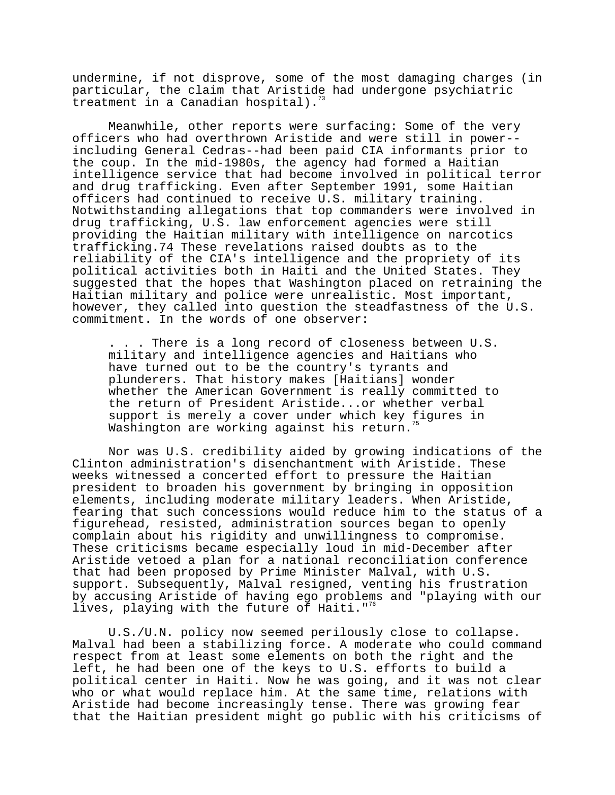undermine, if not disprove, some of the most damaging charges (in particular, the claim that Aristide had undergone psychiatric treatment in a Canadian hospital).

Meanwhile, other reports were surfacing: Some of the very officers who had overthrown Aristide and were still in power- including General Cedras--had been paid CIA informants prior to the coup. In the mid-1980s, the agency had formed a Haitian intelligence service that had become involved in political terror and drug trafficking. Even after September 1991, some Haitian officers had continued to receive U.S. military training. Notwithstanding allegations that top commanders were involved in drug trafficking, U.S. law enforcement agencies were still providing the Haitian military with intelligence on narcotics trafficking.74 These revelations raised doubts as to the reliability of the CIA's intelligence and the propriety of its political activities both in Haiti and the United States. They suggested that the hopes that Washington placed on retraining the Haitian military and police were unrealistic. Most important, however, they called into question the steadfastness of the U.S. commitment. In the words of one observer:

. . . There is a long record of closeness between U.S. military and intelligence agencies and Haitians who have turned out to be the country's tyrants and plunderers. That history makes [Haitians] wonder whether the American Government is really committed to the return of President Aristide...or whether verbal support is merely a cover under which key figures in Washington are working against his return.<sup>75</sup>

Nor was U.S. credibility aided by growing indications of the Clinton administration's disenchantment with Aristide. These weeks witnessed a concerted effort to pressure the Haitian president to broaden his government by bringing in opposition elements, including moderate military leaders. When Aristide, fearing that such concessions would reduce him to the status of a figurehead, resisted, administration sources began to openly complain about his rigidity and unwillingness to compromise. These criticisms became especially loud in mid-December after Aristide vetoed a plan for a national reconciliation conference that had been proposed by Prime Minister Malval, with U.S. support. Subsequently, Malval resigned, venting his frustration by accusing Aristide of having ego problems and "playing with our lives, playing with the future of Haiti."<sup>76</sup>

U.S./U.N. policy now seemed perilously close to collapse. Malval had been a stabilizing force. A moderate who could command respect from at least some elements on both the right and the left, he had been one of the keys to U.S. efforts to build a political center in Haiti. Now he was going, and it was not clear who or what would replace him. At the same time, relations with Aristide had become increasingly tense. There was growing fear that the Haitian president might go public with his criticisms of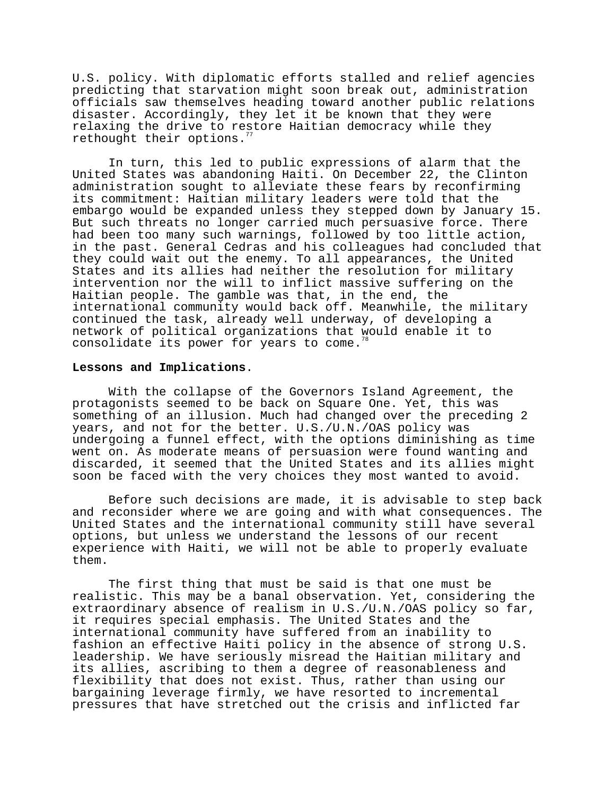U.S. policy. With diplomatic efforts stalled and relief agencies predicting that starvation might soon break out, administration officials saw themselves heading toward another public relations disaster. Accordingly, they let it be known that they were relaxing the drive to restore Haitian democracy while they rethought their options.

In turn, this led to public expressions of alarm that the United States was abandoning Haiti. On December 22, the Clinton administration sought to alleviate these fears by reconfirming its commitment: Haitian military leaders were told that the embargo would be expanded unless they stepped down by January 15. But such threats no longer carried much persuasive force. There had been too many such warnings, followed by too little action, in the past. General Cedras and his colleagues had concluded that they could wait out the enemy. To all appearances, the United States and its allies had neither the resolution for military intervention nor the will to inflict massive suffering on the Haitian people. The gamble was that, in the end, the international community would back off. Meanwhile, the military continued the task, already well underway, of developing a network of political organizations that would enable it to consolidate its power for years to come.<sup>78</sup>

### **Lessons and Implications**.

With the collapse of the Governors Island Agreement, the protagonists seemed to be back on Square One. Yet, this was something of an illusion. Much had changed over the preceding 2 years, and not for the better. U.S./U.N./OAS policy was undergoing a funnel effect, with the options diminishing as time went on. As moderate means of persuasion were found wanting and discarded, it seemed that the United States and its allies might soon be faced with the very choices they most wanted to avoid.

Before such decisions are made, it is advisable to step back and reconsider where we are going and with what consequences. The United States and the international community still have several options, but unless we understand the lessons of our recent experience with Haiti, we will not be able to properly evaluate them.

The first thing that must be said is that one must be realistic. This may be a banal observation. Yet, considering the extraordinary absence of realism in U.S./U.N./OAS policy so far, it requires special emphasis. The United States and the international community have suffered from an inability to fashion an effective Haiti policy in the absence of strong U.S. leadership. We have seriously misread the Haitian military and its allies, ascribing to them a degree of reasonableness and flexibility that does not exist. Thus, rather than using our bargaining leverage firmly, we have resorted to incremental pressures that have stretched out the crisis and inflicted far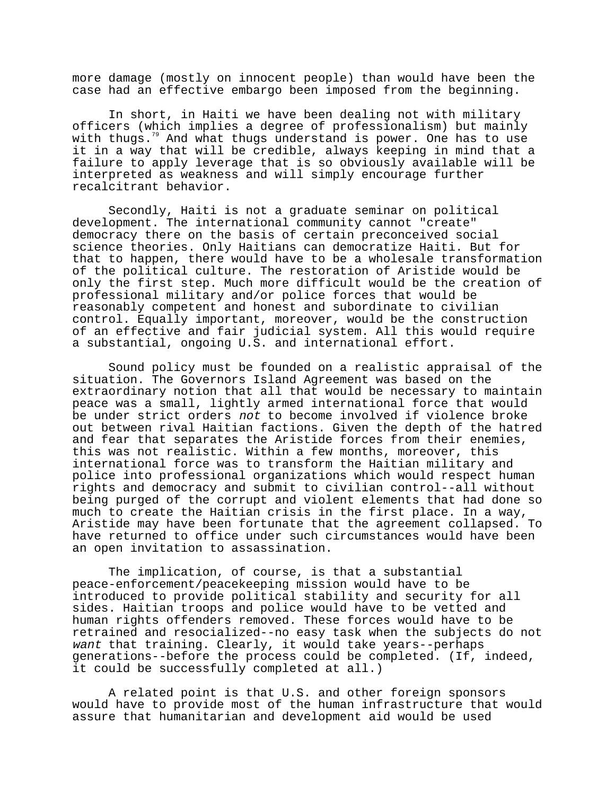more damage (mostly on innocent people) than would have been the case had an effective embargo been imposed from the beginning.

In short, in Haiti we have been dealing not with military officers (which implies a degree of professionalism) but mainly with thugs.<sup>79</sup> And what thugs understand is power. One has to use it in a way that will be credible, always keeping in mind that a failure to apply leverage that is so obviously available will be interpreted as weakness and will simply encourage further recalcitrant behavior.

Secondly, Haiti is not a graduate seminar on political development. The international community cannot "create" democracy there on the basis of certain preconceived social science theories. Only Haitians can democratize Haiti. But for that to happen, there would have to be a wholesale transformation of the political culture. The restoration of Aristide would be only the first step. Much more difficult would be the creation of professional military and/or police forces that would be reasonably competent and honest and subordinate to civilian control. Equally important, moreover, would be the construction of an effective and fair judicial system. All this would require a substantial, ongoing U.S. and international effort.

Sound policy must be founded on a realistic appraisal of the situation. The Governors Island Agreement was based on the extraordinary notion that all that would be necessary to maintain peace was a small, lightly armed international force that would be under strict orders not to become involved if violence broke out between rival Haitian factions. Given the depth of the hatred and fear that separates the Aristide forces from their enemies, this was not realistic. Within a few months, moreover, this international force was to transform the Haitian military and police into professional organizations which would respect human rights and democracy and submit to civilian control--all without being purged of the corrupt and violent elements that had done so much to create the Haitian crisis in the first place. In a way, Aristide may have been fortunate that the agreement collapsed. To have returned to office under such circumstances would have been an open invitation to assassination.

The implication, of course, is that a substantial peace-enforcement/peacekeeping mission would have to be introduced to provide political stability and security for all sides. Haitian troops and police would have to be vetted and human rights offenders removed. These forces would have to be retrained and resocialized--no easy task when the subjects do not want that training. Clearly, it would take years--perhaps generations--before the process could be completed. (If, indeed, it could be successfully completed at all.)

A related point is that U.S. and other foreign sponsors would have to provide most of the human infrastructure that would assure that humanitarian and development aid would be used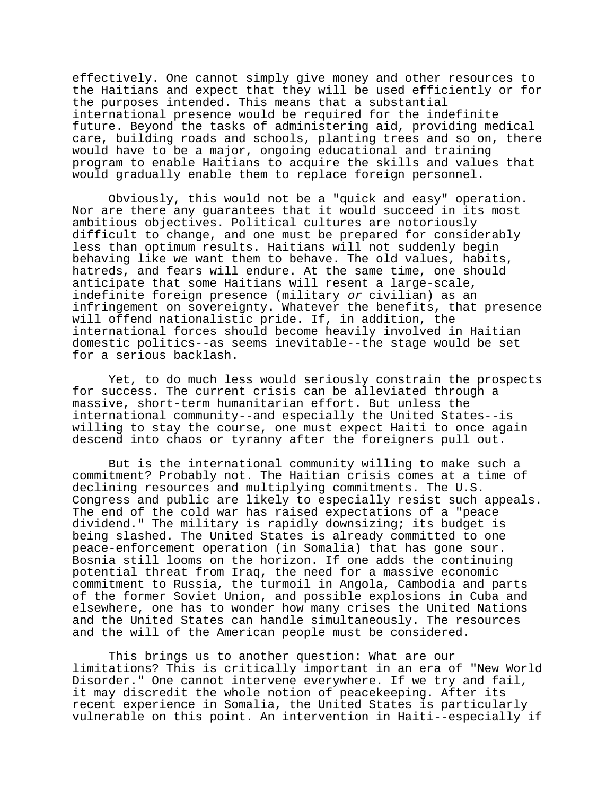effectively. One cannot simply give money and other resources to the Haitians and expect that they will be used efficiently or for the purposes intended. This means that a substantial international presence would be required for the indefinite future. Beyond the tasks of administering aid, providing medical care, building roads and schools, planting trees and so on, there would have to be a major, ongoing educational and training program to enable Haitians to acquire the skills and values that would gradually enable them to replace foreign personnel.

Obviously, this would not be a "quick and easy" operation. Nor are there any guarantees that it would succeed in its most ambitious objectives. Political cultures are notoriously difficult to change, and one must be prepared for considerably less than optimum results. Haitians will not suddenly begin behaving like we want them to behave. The old values, habits, hatreds, and fears will endure. At the same time, one should anticipate that some Haitians will resent a large-scale, indefinite foreign presence (military or civilian) as an infringement on sovereignty. Whatever the benefits, that presence will offend nationalistic pride. If, in addition, the international forces should become heavily involved in Haitian domestic politics--as seems inevitable--the stage would be set for a serious backlash.

Yet, to do much less would seriously constrain the prospects for success. The current crisis can be alleviated through a massive, short-term humanitarian effort. But unless the international community--and especially the United States--is willing to stay the course, one must expect Haiti to once again descend into chaos or tyranny after the foreigners pull out.

But is the international community willing to make such a commitment? Probably not. The Haitian crisis comes at a time of declining resources and multiplying commitments. The U.S. Congress and public are likely to especially resist such appeals. The end of the cold war has raised expectations of a "peace dividend." The military is rapidly downsizing; its budget is being slashed. The United States is already committed to one peace-enforcement operation (in Somalia) that has gone sour. Bosnia still looms on the horizon. If one adds the continuing potential threat from Iraq, the need for a massive economic commitment to Russia, the turmoil in Angola, Cambodia and parts of the former Soviet Union, and possible explosions in Cuba and elsewhere, one has to wonder how many crises the United Nations and the United States can handle simultaneously. The resources and the will of the American people must be considered.

This brings us to another question: What are our limitations? This is critically important in an era of "New World Disorder." One cannot intervene everywhere. If we try and fail, it may discredit the whole notion of peacekeeping. After its recent experience in Somalia, the United States is particularly vulnerable on this point. An intervention in Haiti--especially if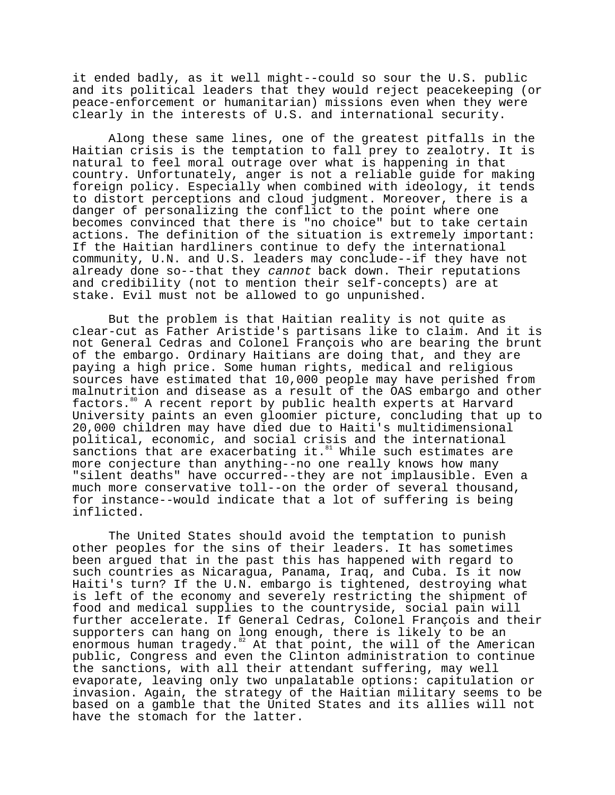it ended badly, as it well might--could so sour the U.S. public and its political leaders that they would reject peacekeeping (or peace-enforcement or humanitarian) missions even when they were clearly in the interests of U.S. and international security.

Along these same lines, one of the greatest pitfalls in the Haitian crisis is the temptation to fall prey to zealotry. It is natural to feel moral outrage over what is happening in that country. Unfortunately, anger is not a reliable guide for making foreign policy. Especially when combined with ideology, it tends to distort perceptions and cloud judgment. Moreover, there is a danger of personalizing the conflict to the point where one becomes convinced that there is "no choice" but to take certain actions. The definition of the situation is extremely important: If the Haitian hardliners continue to defy the international community, U.N. and U.S. leaders may conclude--if they have not already done so--that they cannot back down. Their reputations and credibility (not to mention their self-concepts) are at stake. Evil must not be allowed to go unpunished.

But the problem is that Haitian reality is not quite as clear-cut as Father Aristide's partisans like to claim. And it is not General Cedras and Colonel François who are bearing the brunt of the embargo. Ordinary Haitians are doing that, and they are paying a high price. Some human rights, medical and religious sources have estimated that 10,000 people may have perished from malnutrition and disease as a result of the OAS embargo and other factors.80 A recent report by public health experts at Harvard University paints an even gloomier picture, concluding that up to 20,000 children may have died due to Haiti's multidimensional political, economic, and social crisis and the international sanctions that are exacerbating it. $^{81}$  While such estimates are more conjecture than anything--no one really knows how many "silent deaths" have occurred--they are not implausible. Even a much more conservative toll--on the order of several thousand, for instance--would indicate that a lot of suffering is being inflicted.

The United States should avoid the temptation to punish other peoples for the sins of their leaders. It has sometimes been argued that in the past this has happened with regard to such countries as Nicaragua, Panama, Iraq, and Cuba. Is it now Haiti's turn? If the U.N. embargo is tightened, destroying what is left of the economy and severely restricting the shipment of food and medical supplies to the countryside, social pain will further accelerate. If General Cedras, Colonel François and their supporters can hang on long enough, there is likely to be an enormous human tragedy.<sup>82</sup> At that point, the will of the American public, Congress and even the Clinton administration to continue the sanctions, with all their attendant suffering, may well evaporate, leaving only two unpalatable options: capitulation or invasion. Again, the strategy of the Haitian military seems to be based on a gamble that the United States and its allies will not have the stomach for the latter.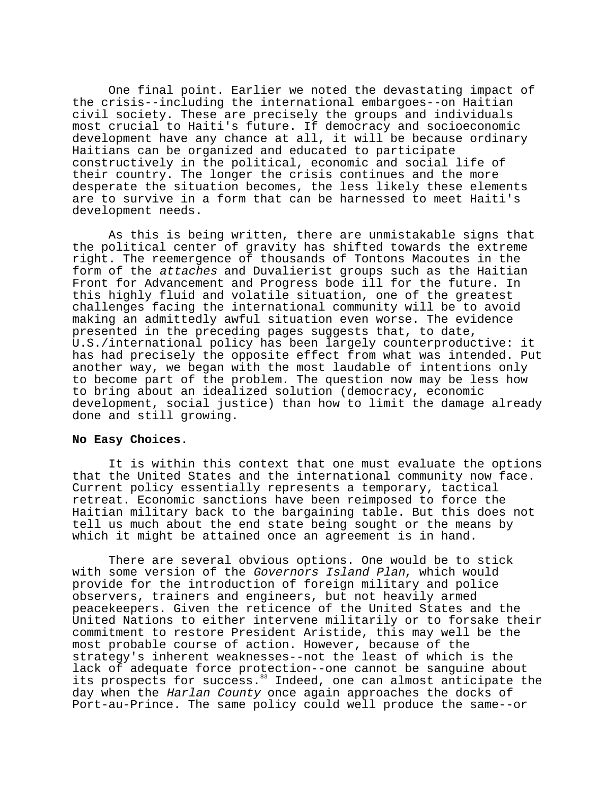One final point. Earlier we noted the devastating impact of the crisis--including the international embargoes--on Haitian civil society. These are precisely the groups and individuals most crucial to Haiti's future. If democracy and socioeconomic development have any chance at all, it will be because ordinary Haitians can be organized and educated to participate constructively in the political, economic and social life of their country. The longer the crisis continues and the more desperate the situation becomes, the less likely these elements are to survive in a form that can be harnessed to meet Haiti's development needs.

As this is being written, there are unmistakable signs that the political center of gravity has shifted towards the extreme right. The reemergence of thousands of Tontons Macoutes in the form of the attaches and Duvalierist groups such as the Haitian Front for Advancement and Progress bode ill for the future. In this highly fluid and volatile situation, one of the greatest challenges facing the international community will be to avoid making an admittedly awful situation even worse. The evidence presented in the preceding pages suggests that, to date, U.S./international policy has been largely counterproductive: it has had precisely the opposite effect from what was intended. Put another way, we began with the most laudable of intentions only to become part of the problem. The question now may be less how to bring about an idealized solution (democracy, economic development, social justice) than how to limit the damage already done and still growing.

#### **No Easy Choices**.

It is within this context that one must evaluate the options that the United States and the international community now face. Current policy essentially represents a temporary, tactical retreat. Economic sanctions have been reimposed to force the Haitian military back to the bargaining table. But this does not tell us much about the end state being sought or the means by which it might be attained once an agreement is in hand.

There are several obvious options. One would be to stick with some version of the Governors Island Plan, which would provide for the introduction of foreign military and police observers, trainers and engineers, but not heavily armed peacekeepers. Given the reticence of the United States and the United Nations to either intervene militarily or to forsake their commitment to restore President Aristide, this may well be the most probable course of action. However, because of the strategy's inherent weaknesses--not the least of which is the lack of adequate force protection--one cannot be sanguine about its prospects for success.<sup>83</sup> Indeed, one can almost anticipate the day when the Harlan County once again approaches the docks of Port-au-Prince. The same policy could well produce the same--or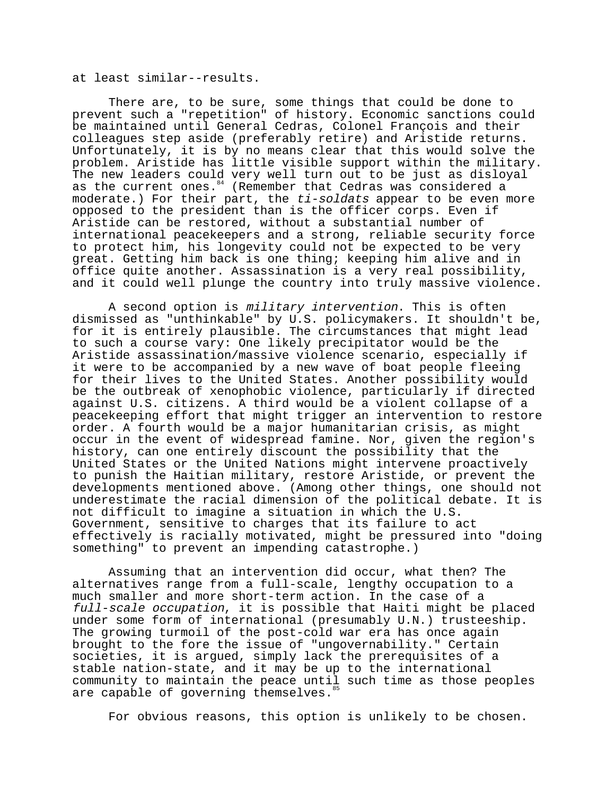at least similar--results.

There are, to be sure, some things that could be done to prevent such a "repetition" of history. Economic sanctions could be maintained until General Cedras, Colonel François and their colleagues step aside (preferably retire) and Aristide returns. Unfortunately, it is by no means clear that this would solve the problem. Aristide has little visible support within the military. The new leaders could very well turn out to be just as disloyal as the current ones.<sup>84</sup> (Remember that Cedras was considered a moderate.) For their part, the ti-soldats appear to be even more opposed to the president than is the officer corps. Even if Aristide can be restored, without a substantial number of international peacekeepers and a strong, reliable security force to protect him, his longevity could not be expected to be very great. Getting him back is one thing; keeping him alive and in office quite another. Assassination is a very real possibility, and it could well plunge the country into truly massive violence.

A second option is military intervention. This is often dismissed as "unthinkable" by U.S. policymakers. It shouldn't be, for it is entirely plausible. The circumstances that might lead to such a course vary: One likely precipitator would be the Aristide assassination/massive violence scenario, especially if it were to be accompanied by a new wave of boat people fleeing for their lives to the United States. Another possibility would be the outbreak of xenophobic violence, particularly if directed against U.S. citizens. A third would be a violent collapse of a peacekeeping effort that might trigger an intervention to restore order. A fourth would be a major humanitarian crisis, as might occur in the event of widespread famine. Nor, given the region's history, can one entirely discount the possibility that the United States or the United Nations might intervene proactively to punish the Haitian military, restore Aristide, or prevent the developments mentioned above. (Among other things, one should not underestimate the racial dimension of the political debate. It is not difficult to imagine a situation in which the U.S. Government, sensitive to charges that its failure to act effectively is racially motivated, might be pressured into "doing something" to prevent an impending catastrophe.)

Assuming that an intervention did occur, what then? The alternatives range from a full-scale, lengthy occupation to a much smaller and more short-term action. In the case of a full-scale occupation, it is possible that Haiti might be placed under some form of international (presumably U.N.) trusteeship. The growing turmoil of the post-cold war era has once again brought to the fore the issue of "ungovernability." Certain societies, it is argued, simply lack the prerequisites of a stable nation-state, and it may be up to the international community to maintain the peace until such time as those peoples are capable of governing themselves.<sup>85</sup>

For obvious reasons, this option is unlikely to be chosen.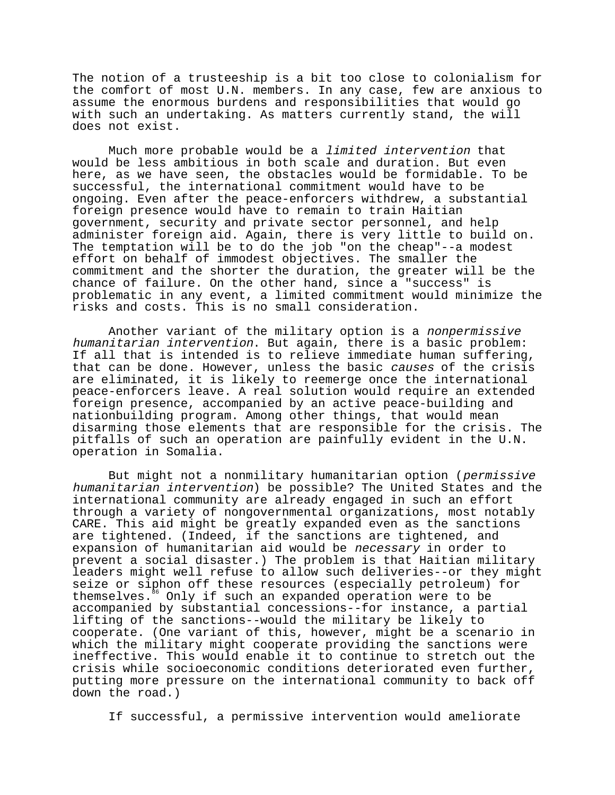The notion of a trusteeship is a bit too close to colonialism for the comfort of most U.N. members. In any case, few are anxious to assume the enormous burdens and responsibilities that would go with such an undertaking. As matters currently stand, the will does not exist.

Much more probable would be a limited intervention that would be less ambitious in both scale and duration. But even here, as we have seen, the obstacles would be formidable. To be successful, the international commitment would have to be ongoing. Even after the peace-enforcers withdrew, a substantial foreign presence would have to remain to train Haitian government, security and private sector personnel, and help administer foreign aid. Again, there is very little to build on. The temptation will be to do the job "on the cheap"--a modest effort on behalf of immodest objectives. The smaller the commitment and the shorter the duration, the greater will be the chance of failure. On the other hand, since a "success" is problematic in any event, a limited commitment would minimize the risks and costs. This is no small consideration.

Another variant of the military option is a nonpermissive humanitarian intervention. But again, there is a basic problem: If all that is intended is to relieve immediate human suffering, that can be done. However, unless the basic causes of the crisis are eliminated, it is likely to reemerge once the international peace-enforcers leave. A real solution would require an extended foreign presence, accompanied by an active peace-building and nationbuilding program. Among other things, that would mean disarming those elements that are responsible for the crisis. The pitfalls of such an operation are painfully evident in the U.N. operation in Somalia.

But might not a nonmilitary humanitarian option (permissive humanitarian intervention) be possible? The United States and the international community are already engaged in such an effort through a variety of nongovernmental organizations, most notably CARE. This aid might be greatly expanded even as the sanctions are tightened. (Indeed, if the sanctions are tightened, and expansion of humanitarian aid would be necessary in order to prevent a social disaster.) The problem is that Haitian military leaders might well refuse to allow such deliveries--or they might seize or siphon off these resources (especially petroleum) for themselves.86 Only if such an expanded operation were to be accompanied by substantial concessions--for instance, a partial lifting of the sanctions--would the military be likely to cooperate. (One variant of this, however, might be a scenario in which the military might cooperate providing the sanctions were ineffective. This would enable it to continue to stretch out the crisis while socioeconomic conditions deteriorated even further, putting more pressure on the international community to back off down the road.)

If successful, a permissive intervention would ameliorate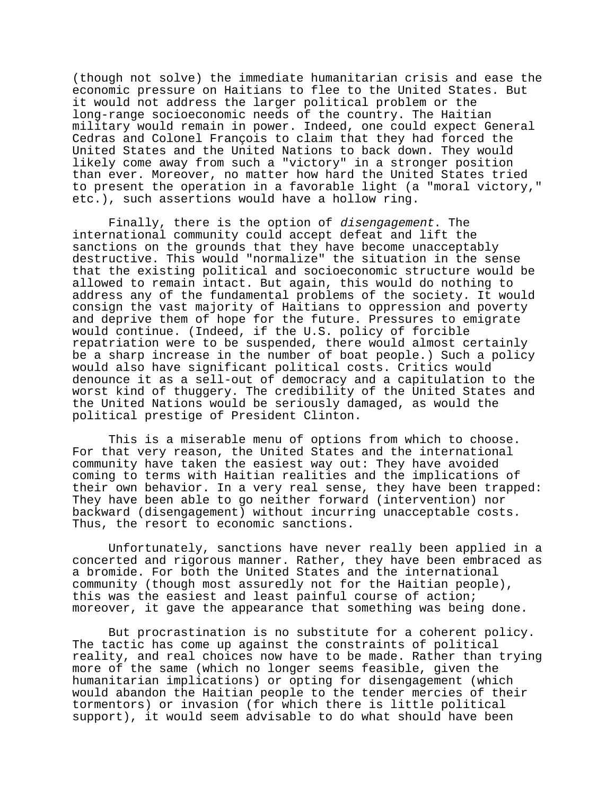(though not solve) the immediate humanitarian crisis and ease the economic pressure on Haitians to flee to the United States. But it would not address the larger political problem or the long-range socioeconomic needs of the country. The Haitian military would remain in power. Indeed, one could expect General Cedras and Colonel François to claim that they had forced the United States and the United Nations to back down. They would likely come away from such a "victory" in a stronger position than ever. Moreover, no matter how hard the United States tried to present the operation in a favorable light (a "moral victory," etc.), such assertions would have a hollow ring.

Finally, there is the option of disengagement. The international community could accept defeat and lift the sanctions on the grounds that they have become unacceptably destructive. This would "normalize" the situation in the sense that the existing political and socioeconomic structure would be allowed to remain intact. But again, this would do nothing to address any of the fundamental problems of the society. It would consign the vast majority of Haitians to oppression and poverty and deprive them of hope for the future. Pressures to emigrate would continue. (Indeed, if the U.S. policy of forcible repatriation were to be suspended, there would almost certainly be a sharp increase in the number of boat people.) Such a policy would also have significant political costs. Critics would denounce it as a sell-out of democracy and a capitulation to the worst kind of thuggery. The credibility of the United States and the United Nations would be seriously damaged, as would the political prestige of President Clinton.

This is a miserable menu of options from which to choose. For that very reason, the United States and the international community have taken the easiest way out: They have avoided coming to terms with Haitian realities and the implications of their own behavior. In a very real sense, they have been trapped: They have been able to go neither forward (intervention) nor backward (disengagement) without incurring unacceptable costs. Thus, the resort to economic sanctions.

Unfortunately, sanctions have never really been applied in a concerted and rigorous manner. Rather, they have been embraced as a bromide. For both the United States and the international community (though most assuredly not for the Haitian people), this was the easiest and least painful course of action; moreover, it gave the appearance that something was being done.

But procrastination is no substitute for a coherent policy. The tactic has come up against the constraints of political reality, and real choices now have to be made. Rather than trying more of the same (which no longer seems feasible, given the humanitarian implications) or opting for disengagement (which would abandon the Haitian people to the tender mercies of their tormentors) or invasion (for which there is little political support), it would seem advisable to do what should have been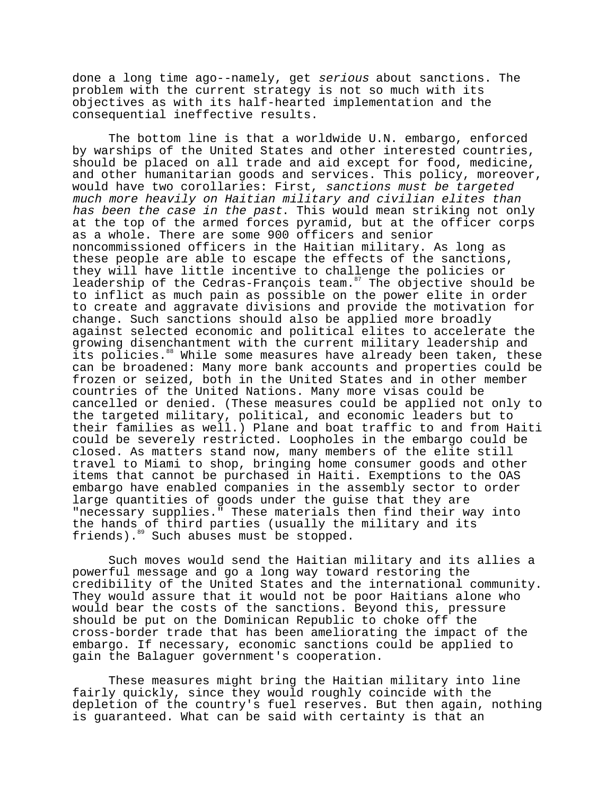done a long time ago--namely, get serious about sanctions. The problem with the current strategy is not so much with its objectives as with its half-hearted implementation and the consequential ineffective results.

The bottom line is that a worldwide U.N. embargo, enforced by warships of the United States and other interested countries, should be placed on all trade and aid except for food, medicine, and other humanitarian goods and services. This policy, moreover, would have two corollaries: First, sanctions must be targeted much more heavily on Haitian military and civilian elites than has been the case in the past. This would mean striking not only at the top of the armed forces pyramid, but at the officer corps as a whole. There are some 900 officers and senior noncommissioned officers in the Haitian military. As long as these people are able to escape the effects of the sanctions, they will have little incentive to challenge the policies or leadership of the Cedras-François team.<sup>87</sup> The objective should be to inflict as much pain as possible on the power elite in order to create and aggravate divisions and provide the motivation for change. Such sanctions should also be applied more broadly against selected economic and political elites to accelerate the growing disenchantment with the current military leadership and its policies.<sup>88</sup> While some measures have already been taken, these can be broadened: Many more bank accounts and properties could be frozen or seized, both in the United States and in other member countries of the United Nations. Many more visas could be cancelled or denied. (These measures could be applied not only to the targeted military, political, and economic leaders but to their families as well.) Plane and boat traffic to and from Haiti could be severely restricted. Loopholes in the embargo could be closed. As matters stand now, many members of the elite still travel to Miami to shop, bringing home consumer goods and other items that cannot be purchased in Haiti. Exemptions to the OAS embargo have enabled companies in the assembly sector to order large quantities of goods under the guise that they are "necessary supplies." These materials then find their way into the hands of third parties (usually the military and its friends).89 Such abuses must be stopped.

Such moves would send the Haitian military and its allies a powerful message and go a long way toward restoring the credibility of the United States and the international community. They would assure that it would not be poor Haitians alone who would bear the costs of the sanctions. Beyond this, pressure should be put on the Dominican Republic to choke off the cross-border trade that has been ameliorating the impact of the embargo. If necessary, economic sanctions could be applied to gain the Balaguer government's cooperation.

These measures might bring the Haitian military into line fairly quickly, since they would roughly coincide with the depletion of the country's fuel reserves. But then again, nothing is guaranteed. What can be said with certainty is that an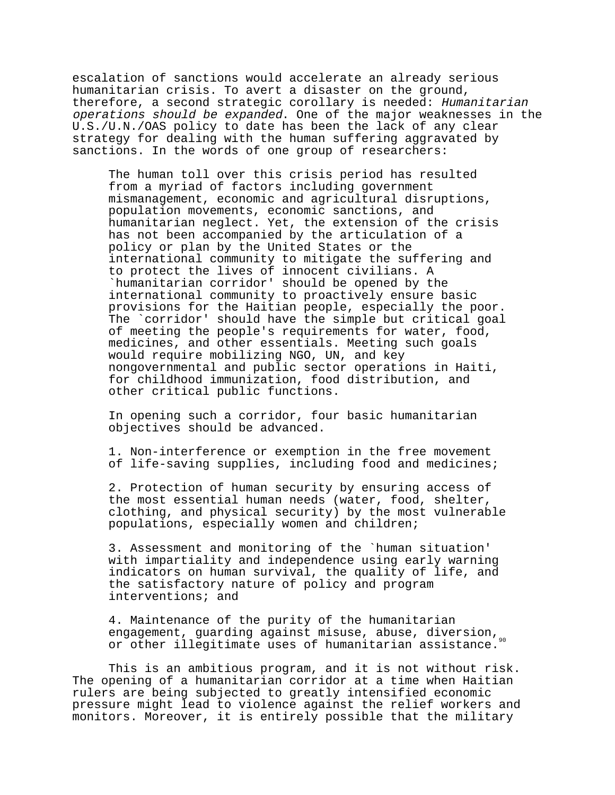escalation of sanctions would accelerate an already serious humanitarian crisis. To avert a disaster on the ground, therefore, a second strategic corollary is needed: Humanitarian operations should be expanded. One of the major weaknesses in the U.S./U.N./OAS policy to date has been the lack of any clear strategy for dealing with the human suffering aggravated by sanctions. In the words of one group of researchers:

The human toll over this crisis period has resulted from a myriad of factors including government mismanagement, economic and agricultural disruptions, population movements, economic sanctions, and humanitarian neglect. Yet, the extension of the crisis has not been accompanied by the articulation of a policy or plan by the United States or the international community to mitigate the suffering and to protect the lives of innocent civilians. A `humanitarian corridor' should be opened by the international community to proactively ensure basic provisions for the Haitian people, especially the poor. The `corridor' should have the simple but critical goal of meeting the people's requirements for water, food, medicines, and other essentials. Meeting such goals would require mobilizing NGO, UN, and key nongovernmental and public sector operations in Haiti, for childhood immunization, food distribution, and other critical public functions.

In opening such a corridor, four basic humanitarian objectives should be advanced.

1. Non-interference or exemption in the free movement of life-saving supplies, including food and medicines;

2. Protection of human security by ensuring access of the most essential human needs (water, food, shelter, clothing, and physical security) by the most vulnerable populations, especially women and children;

3. Assessment and monitoring of the `human situation' with impartiality and independence using early warning indicators on human survival, the quality of life, and the satisfactory nature of policy and program interventions; and

4. Maintenance of the purity of the humanitarian engagement, guarding against misuse, abuse, diversion, or other illegitimate uses of humanitarian assistance.

This is an ambitious program, and it is not without risk. The opening of a humanitarian corridor at a time when Haitian rulers are being subjected to greatly intensified economic pressure might lead to violence against the relief workers and monitors. Moreover, it is entirely possible that the military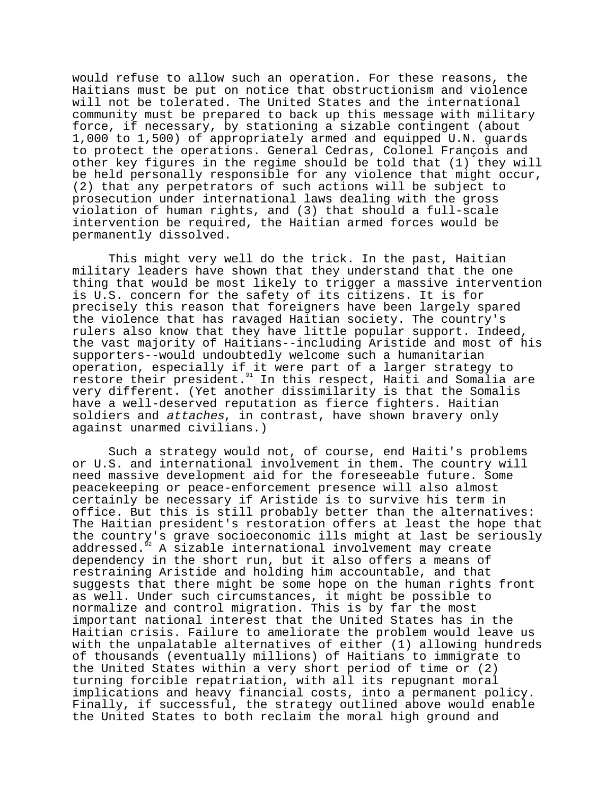would refuse to allow such an operation. For these reasons, the Haitians must be put on notice that obstructionism and violence will not be tolerated. The United States and the international community must be prepared to back up this message with military force, if necessary, by stationing a sizable contingent (about 1,000 to 1,500) of appropriately armed and equipped U.N. guards to protect the operations. General Cedras, Colonel François and other key figures in the regime should be told that (1) they will be held personally responsible for any violence that might occur, (2) that any perpetrators of such actions will be subject to prosecution under international laws dealing with the gross violation of human rights, and (3) that should a full-scale intervention be required, the Haitian armed forces would be permanently dissolved.

This might very well do the trick. In the past, Haitian military leaders have shown that they understand that the one thing that would be most likely to trigger a massive intervention is U.S. concern for the safety of its citizens. It is for precisely this reason that foreigners have been largely spared the violence that has ravaged Haitian society. The country's rulers also know that they have little popular support. Indeed, the vast majority of Haitians--including Aristide and most of his supporters--would undoubtedly welcome such a humanitarian operation, especially if it were part of a larger strategy to restore their president.<sup>91</sup> In this respect, Haiti and Somalia are very different. (Yet another dissimilarity is that the Somalis have a well-deserved reputation as fierce fighters. Haitian soldiers and attaches, in contrast, have shown bravery only against unarmed civilians.)

Such a strategy would not, of course, end Haiti's problems or U.S. and international involvement in them. The country will need massive development aid for the foreseeable future. Some peacekeeping or peace-enforcement presence will also almost certainly be necessary if Aristide is to survive his term in office. But this is still probably better than the alternatives: The Haitian president's restoration offers at least the hope that the country's grave socioeconomic ills might at last be seriously addressed.<sup>92</sup> A sizable international involvement may create dependency in the short run, but it also offers a means of restraining Aristide and holding him accountable, and that suggests that there might be some hope on the human rights front as well. Under such circumstances, it might be possible to normalize and control migration. This is by far the most important national interest that the United States has in the Haitian crisis. Failure to ameliorate the problem would leave us with the unpalatable alternatives of either (1) allowing hundreds of thousands (eventually millions) of Haitians to immigrate to the United States within a very short period of time or (2) turning forcible repatriation, with all its repugnant moral implications and heavy financial costs, into a permanent policy. Finally, if successful, the strategy outlined above would enable the United States to both reclaim the moral high ground and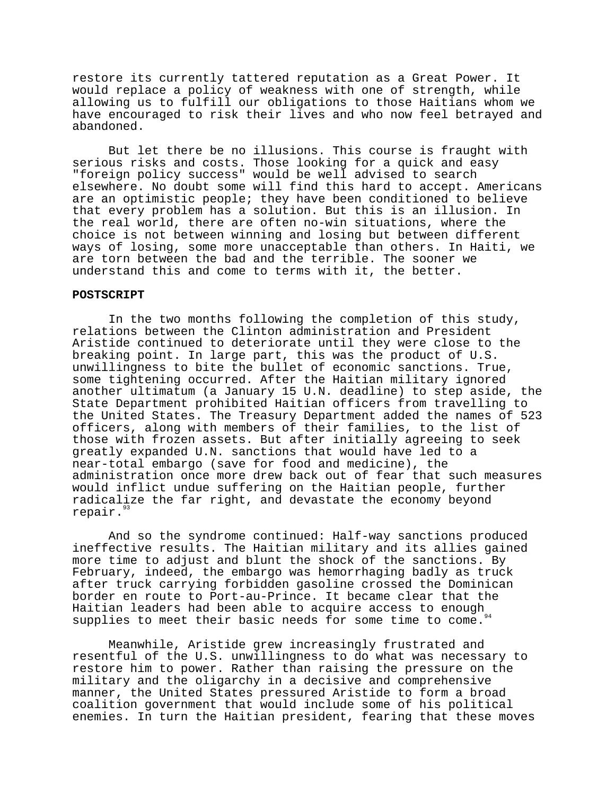restore its currently tattered reputation as a Great Power. It would replace a policy of weakness with one of strength, while allowing us to fulfill our obligations to those Haitians whom we have encouraged to risk their lives and who now feel betrayed and abandoned.

But let there be no illusions. This course is fraught with serious risks and costs. Those looking for a quick and easy "foreign policy success" would be well advised to search elsewhere. No doubt some will find this hard to accept. Americans are an optimistic people; they have been conditioned to believe that every problem has a solution. But this is an illusion. In the real world, there are often no-win situations, where the choice is not between winning and losing but between different ways of losing, some more unacceptable than others. In Haiti, we are torn between the bad and the terrible. The sooner we understand this and come to terms with it, the better.

### **POSTSCRIPT**

In the two months following the completion of this study, relations between the Clinton administration and President Aristide continued to deteriorate until they were close to the breaking point. In large part, this was the product of U.S. unwillingness to bite the bullet of economic sanctions. True, some tightening occurred. After the Haitian military ignored another ultimatum (a January 15 U.N. deadline) to step aside, the State Department prohibited Haitian officers from travelling to the United States. The Treasury Department added the names of 523 officers, along with members of their families, to the list of those with frozen assets. But after initially agreeing to seek greatly expanded U.N. sanctions that would have led to a near-total embargo (save for food and medicine), the administration once more drew back out of fear that such measures would inflict undue suffering on the Haitian people, further radicalize the far right, and devastate the economy beyond repair.<sup>93</sup>

And so the syndrome continued: Half-way sanctions produced ineffective results. The Haitian military and its allies gained more time to adjust and blunt the shock of the sanctions. By February, indeed, the embargo was hemorrhaging badly as truck after truck carrying forbidden gasoline crossed the Dominican border en route to Port-au-Prince. It became clear that the Builder en route to rore an extra ......<br>Haitian leaders had been able to acquire access to enough<sub>94</sub> supplies to meet their basic needs for some time to come.

Meanwhile, Aristide grew increasingly frustrated and resentful of the U.S. unwillingness to do what was necessary to restore him to power. Rather than raising the pressure on the military and the oligarchy in a decisive and comprehensive manner, the United States pressured Aristide to form a broad coalition government that would include some of his political enemies. In turn the Haitian president, fearing that these moves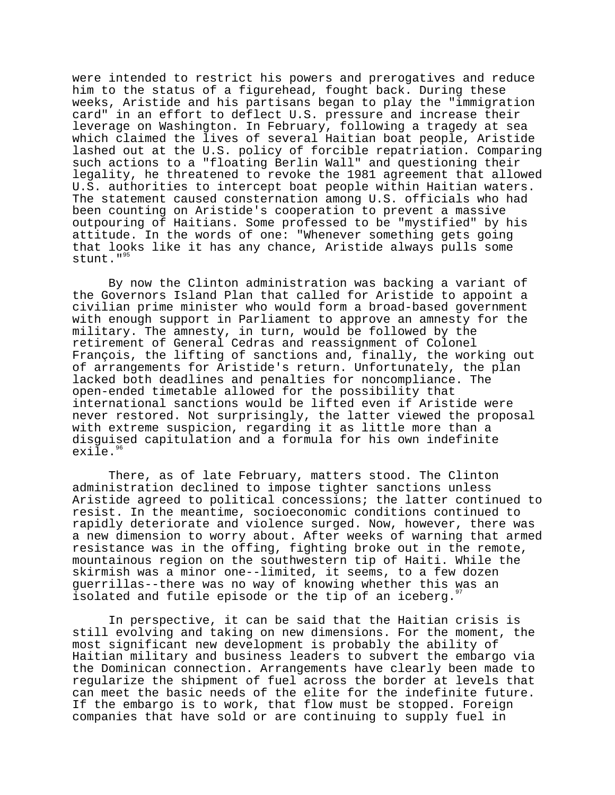were intended to restrict his powers and prerogatives and reduce him to the status of a figurehead, fought back. During these weeks, Aristide and his partisans began to play the "immigration card" in an effort to deflect U.S. pressure and increase their leverage on Washington. In February, following a tragedy at sea which claimed the lives of several Haitian boat people, Aristide lashed out at the U.S. policy of forcible repatriation. Comparing such actions to a "floating Berlin Wall" and questioning their legality, he threatened to revoke the 1981 agreement that allowed U.S. authorities to intercept boat people within Haitian waters. The statement caused consternation among U.S. officials who had been counting on Aristide's cooperation to prevent a massive outpouring of Haitians. Some professed to be "mystified" by his attitude. In the words of one: "Whenever something gets going that looks like it has any chance, Aristide always pulls some stunt."<sup>95</sup>

By now the Clinton administration was backing a variant of the Governors Island Plan that called for Aristide to appoint a civilian prime minister who would form a broad-based government with enough support in Parliament to approve an amnesty for the military. The amnesty, in turn, would be followed by the retirement of General Cedras and reassignment of Colonel François, the lifting of sanctions and, finally, the working out of arrangements for Aristide's return. Unfortunately, the plan lacked both deadlines and penalties for noncompliance. The open-ended timetable allowed for the possibility that international sanctions would be lifted even if Aristide were never restored. Not surprisingly, the latter viewed the proposal with extreme suspicion, regarding it as little more than a disguised capitulation and a formula for his own indefinite exile.<sup>9</sup>

There, as of late February, matters stood. The Clinton administration declined to impose tighter sanctions unless Aristide agreed to political concessions; the latter continued to resist. In the meantime, socioeconomic conditions continued to rapidly deteriorate and violence surged. Now, however, there was a new dimension to worry about. After weeks of warning that armed resistance was in the offing, fighting broke out in the remote, mountainous region on the southwestern tip of Haiti. While the skirmish was a minor one--limited, it seems, to a few dozen guerrillas--there was no way of knowing whether this was an isolated and futile episode or the tip of an iceberg."

In perspective, it can be said that the Haitian crisis is still evolving and taking on new dimensions. For the moment, the most significant new development is probably the ability of Haitian military and business leaders to subvert the embargo via the Dominican connection. Arrangements have clearly been made to regularize the shipment of fuel across the border at levels that can meet the basic needs of the elite for the indefinite future. If the embargo is to work, that flow must be stopped. Foreign companies that have sold or are continuing to supply fuel in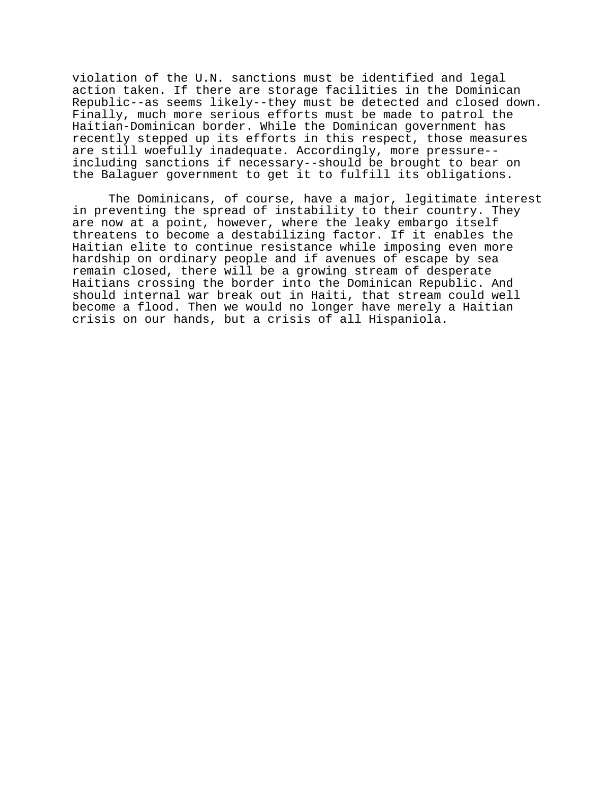violation of the U.N. sanctions must be identified and legal action taken. If there are storage facilities in the Dominican Republic--as seems likely--they must be detected and closed down. Finally, much more serious efforts must be made to patrol the Haitian-Dominican border. While the Dominican government has recently stepped up its efforts in this respect, those measures are still woefully inadequate. Accordingly, more pressure- including sanctions if necessary--should be brought to bear on the Balaguer government to get it to fulfill its obligations.

The Dominicans, of course, have a major, legitimate interest in preventing the spread of instability to their country. They are now at a point, however, where the leaky embargo itself threatens to become a destabilizing factor. If it enables the Haitian elite to continue resistance while imposing even more hardship on ordinary people and if avenues of escape by sea remain closed, there will be a growing stream of desperate Haitians crossing the border into the Dominican Republic. And should internal war break out in Haiti, that stream could well become a flood. Then we would no longer have merely a Haitian crisis on our hands, but a crisis of all Hispaniola.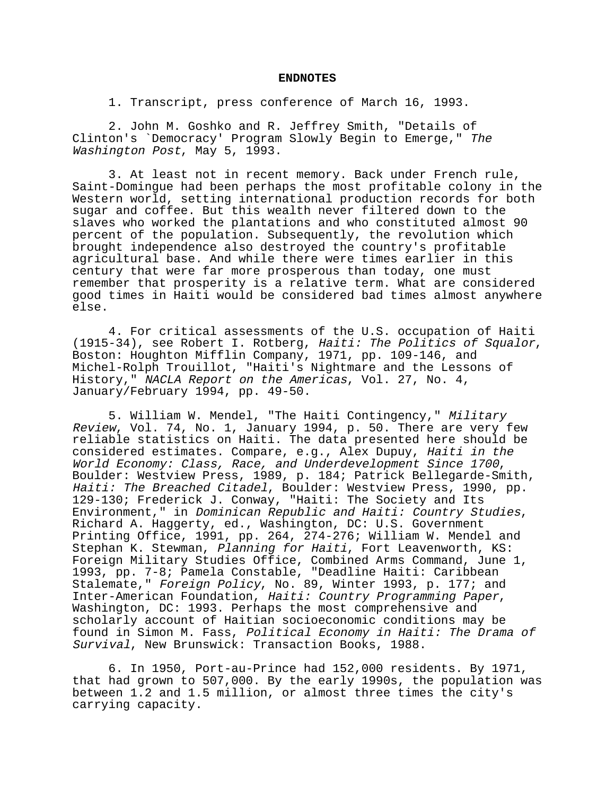#### **ENDNOTES**

1. Transcript, press conference of March 16, 1993.

2. John M. Goshko and R. Jeffrey Smith, "Details of Clinton's `Democracy' Program Slowly Begin to Emerge," The Washington Post, May 5, 1993.

3. At least not in recent memory. Back under French rule, Saint-Domingue had been perhaps the most profitable colony in the Western world, setting international production records for both sugar and coffee. But this wealth never filtered down to the slaves who worked the plantations and who constituted almost 90 percent of the population. Subsequently, the revolution which brought independence also destroyed the country's profitable agricultural base. And while there were times earlier in this century that were far more prosperous than today, one must remember that prosperity is a relative term. What are considered good times in Haiti would be considered bad times almost anywhere else.

4. For critical assessments of the U.S. occupation of Haiti (1915-34), see Robert I. Rotberg, Haiti: The Politics of Squalor, Boston: Houghton Mifflin Company, 1971, pp. 109-146, and Michel-Rolph Trouillot, "Haiti's Nightmare and the Lessons of History," NACLA Report on the Americas, Vol. 27, No. 4, January/February 1994, pp. 49-50.

5. William W. Mendel, "The Haiti Contingency," Military Review, Vol. 74, No. 1, January 1994, p. 50. There are very few reliable statistics on Haiti. The data presented here should be considered estimates. Compare, e.g., Alex Dupuy, Haiti in the World Economy: Class, Race, and Underdevelopment Since 1700, Boulder: Westview Press, 1989, p. 184; Patrick Bellegarde-Smith, Haiti: The Breached Citadel, Boulder: Westview Press, 1990, pp. 129-130; Frederick J. Conway, "Haiti: The Society and Its Environment," in Dominican Republic and Haiti: Country Studies, Richard A. Haggerty, ed., Washington, DC: U.S. Government Printing Office, 1991, pp. 264, 274-276; William W. Mendel and Stephan K. Stewman, Planning for Haiti, Fort Leavenworth, KS: Foreign Military Studies Office, Combined Arms Command, June 1, 1993, pp. 7-8; Pamela Constable, "Deadline Haiti: Caribbean Stalemate," Foreign Policy, No. 89, Winter 1993, p. 177; and Inter-American Foundation, Haiti: Country Programming Paper,<br>Washington, DC: 1993. Perhaps the most comprehensive and scholarly account of Haitian socioeconomic conditions may be found in Simon M. Fass, Political Economy in Haiti: The Drama of Survival, New Brunswick: Transaction Books, 1988.

6. In 1950, Port-au-Prince had 152,000 residents. By 1971, that had grown to 507,000. By the early 1990s, the population was between 1.2 and 1.5 million, or almost three times the city's carrying capacity.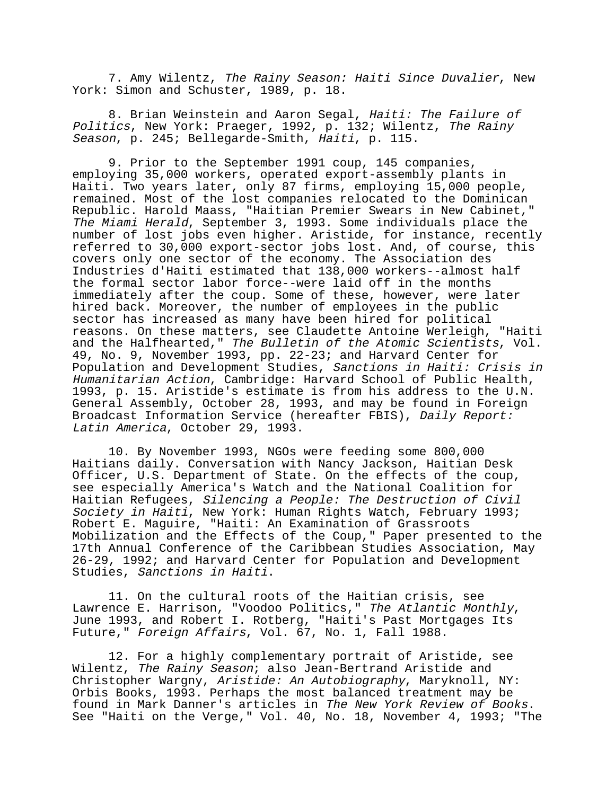7. Amy Wilentz, The Rainy Season: Haiti Since Duvalier, New York: Simon and Schuster, 1989, p. 18.

8. Brian Weinstein and Aaron Segal, Haiti: The Failure of Politics, New York: Praeger, 1992, p. 132; Wilentz, The Rainy Season, p. 245; Bellegarde-Smith, Haiti, p. 115.

9. Prior to the September 1991 coup, 145 companies, employing 35,000 workers, operated export-assembly plants in Haiti. Two years later, only 87 firms, employing 15,000 people, remained. Most of the lost companies relocated to the Dominican Republic. Harold Maass, "Haitian Premier Swears in New Cabinet," The Miami Herald, September 3, 1993. Some individuals place the number of lost jobs even higher. Aristide, for instance, recently referred to 30,000 export-sector jobs lost. And, of course, this covers only one sector of the economy. The Association des Industries d'Haiti estimated that 138,000 workers--almost half the formal sector labor force--were laid off in the months immediately after the coup. Some of these, however, were later hired back. Moreover, the number of employees in the public sector has increased as many have been hired for political reasons. On these matters, see Claudette Antoine Werleigh, "Haiti and the Halfhearted," The Bulletin of the Atomic Scientists, Vol. 49, No. 9, November 1993, pp. 22-23; and Harvard Center for Population and Development Studies, Sanctions in Haiti: Crisis in Humanitarian Action, Cambridge: Harvard School of Public Health, 1993, p. 15. Aristide's estimate is from his address to the U.N. General Assembly, October 28, 1993, and may be found in Foreign Broadcast Information Service (hereafter FBIS), Daily Report: Latin America, October 29, 1993.

10. By November 1993, NGOs were feeding some 800,000 Haitians daily. Conversation with Nancy Jackson, Haitian Desk Officer, U.S. Department of State. On the effects of the coup, see especially America's Watch and the National Coalition for Haitian Refugees, Silencing a People: The Destruction of Civil Society in Haiti, New York: Human Rights Watch, February 1993; Robert E. Maguire, "Haiti: An Examination of Grassroots Mobilization and the Effects of the Coup," Paper presented to the 17th Annual Conference of the Caribbean Studies Association, May 26-29, 1992; and Harvard Center for Population and Development Studies, Sanctions in Haiti.

11. On the cultural roots of the Haitian crisis, see<br>Lawrence E. Harrison, "Voodoo Politics," The Atlantic Monthly, June 1993, and Robert I. Rotberg, "Haiti's Past Mortgages Its Future," Foreign Affairs, Vol. 67, No. 1, Fall 1988.

12. For a highly complementary portrait of Aristide, see Wilentz, The Rainy Season; also Jean-Bertrand Aristide and Christopher Wargny, Aristide: An Autobiography, Maryknoll, NY: Orbis Books, 1993. Perhaps the most balanced treatment may be found in Mark Danner's articles in The New York Review of Books.<br>See "Haiti on the Verge," Vol. 40, No. 18, November 4, 1993; "The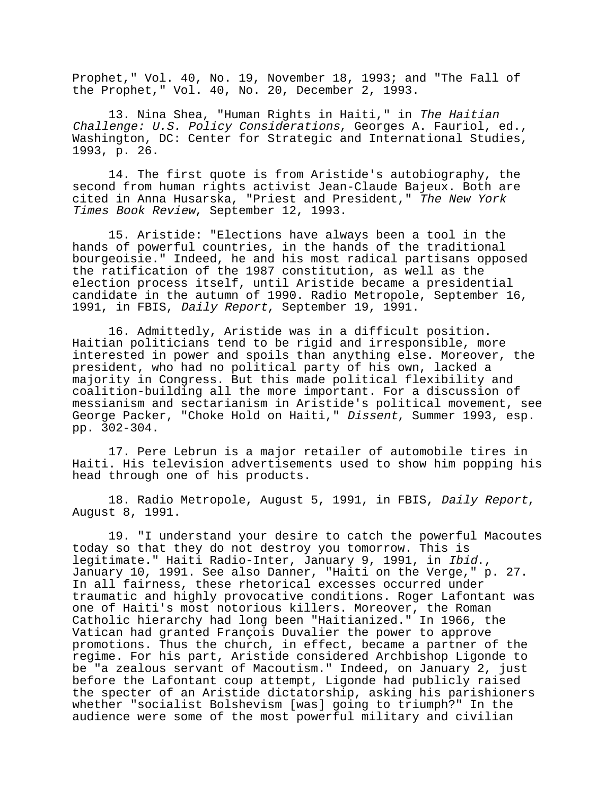Prophet," Vol. 40, No. 19, November 18, 1993; and "The Fall of the Prophet," Vol. 40, No. 20, December 2, 1993.

13. Nina Shea, "Human Rights in Haiti," in The Haitian Challenge: U.S. Policy Considerations, Georges A. Fauriol, ed., Washington, DC: Center for Strategic and International Studies, 1993, p. 26.

14. The first quote is from Aristide's autobiography, the second from human rights activist Jean-Claude Bajeux. Both are cited in Anna Husarska, "Priest and President," The New York Times Book Review, September 12, 1993.

15. Aristide: "Elections have always been a tool in the hands of powerful countries, in the hands of the traditional bourgeoisie." Indeed, he and his most radical partisans opposed the ratification of the 1987 constitution, as well as the election process itself, until Aristide became a presidential candidate in the autumn of 1990. Radio Metropole, September 16, 1991, in FBIS, Daily Report, September 19, 1991.

16. Admittedly, Aristide was in a difficult position. Haitian politicians tend to be rigid and irresponsible, more interested in power and spoils than anything else. Moreover, the president, who had no political party of his own, lacked a majority in Congress. But this made political flexibility and coalition-building all the more important. For a discussion of messianism and sectarianism in Aristide's political movement, see George Packer, "Choke Hold on Haiti," Dissent, Summer 1993, esp. pp. 302-304.

17. Pere Lebrun is a major retailer of automobile tires in Haiti. His television advertisements used to show him popping his head through one of his products.

18. Radio Metropole, August 5, 1991, in FBIS, Daily Report, August 8, 1991.

19. "I understand your desire to catch the powerful Macoutes today so that they do not destroy you tomorrow. This is legitimate." Haiti Radio-Inter, January 9, 1991, in Ibid.,<br>January 10, 1991. See also Danner, "Haiti on the Verge," p. 27. In all fairness, these rhetorical excesses occurred under traumatic and highly provocative conditions. Roger Lafontant was one of Haiti's most notorious killers. Moreover, the Roman Catholic hierarchy had long been "Haitianized." In 1966, the Vatican had granted François Duvalier the power to approve promotions. Thus the church, in effect, became a partner of the regime. For his part, Aristide considered Archbishop Ligonde to be "a zealous servant of Macoutism." Indeed, on January 2, just before the Lafontant coup attempt, Ligonde had publicly raised the specter of an Aristide dictatorship, asking his parishioners whether "socialist Bolshevism [was] going to triumph?" In the audience were some of the most powerful military and civilian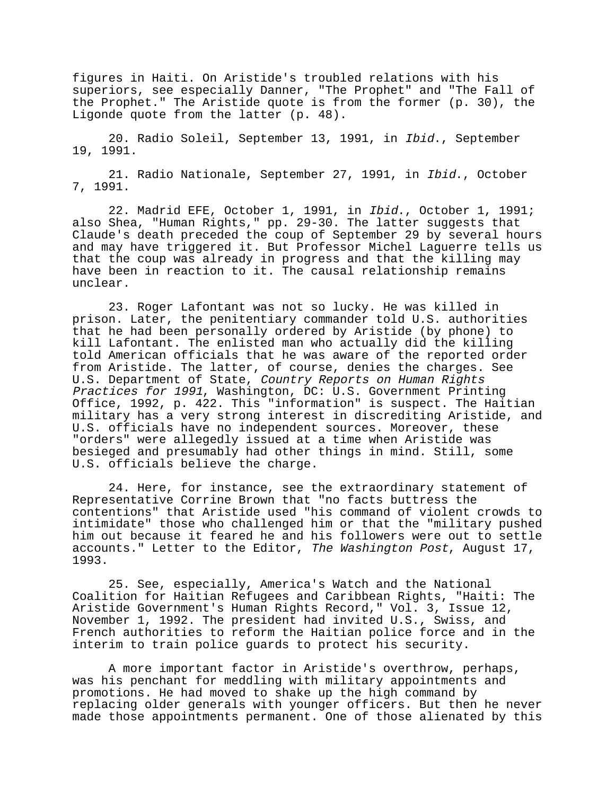figures in Haiti. On Aristide's troubled relations with his superiors, see especially Danner, "The Prophet" and "The Fall of the Prophet." The Aristide quote is from the former (p. 30), the Ligonde quote from the latter (p. 48).

20. Radio Soleil, September 13, 1991, in Ibid., September 19, 1991.

21. Radio Nationale, September 27, 1991, in Ibid., October 7, 1991.

22. Madrid EFE, October 1, 1991, in Ibid., October 1, 1991; also Shea, "Human Rights," pp. 29-30. The latter suggests that Claude's death preceded the coup of September 29 by several hours and may have triggered it. But Professor Michel Laguerre tells us that the coup was already in progress and that the killing may have been in reaction to it. The causal relationship remains unclear.

23. Roger Lafontant was not so lucky. He was killed in prison. Later, the penitentiary commander told U.S. authorities that he had been personally ordered by Aristide (by phone) to kill Lafontant. The enlisted man who actually did the killing told American officials that he was aware of the reported order from Aristide. The latter, of course, denies the charges. See U.S. Department of State, Country Reports on Human Rights Practices for 1991, Washington, DC: U.S. Government Printing Office, 1992, p. 422. This "information" is suspect. The Haitian military has a very strong interest in discrediting Aristide, and U.S. officials have no independent sources. Moreover, these "orders" were allegedly issued at a time when Aristide was besieged and presumably had other things in mind. Still, some U.S. officials believe the charge.

24. Here, for instance, see the extraordinary statement of Representative Corrine Brown that "no facts buttress the contentions" that Aristide used "his command of violent crowds to intimidate" those who challenged him or that the "military pushed him out because it feared he and his followers were out to settle accounts." Letter to the Editor, The Washington Post, August 17, 1993.

25. See, especially, America's Watch and the National Coalition for Haitian Refugees and Caribbean Rights, "Haiti: The Aristide Government's Human Rights Record," Vol. 3, Issue 12, November 1, 1992. The president had invited U.S., Swiss, and French authorities to reform the Haitian police force and in the interim to train police guards to protect his security.

A more important factor in Aristide's overthrow, perhaps, was his penchant for meddling with military appointments and promotions. He had moved to shake up the high command by replacing older generals with younger officers. But then he never made those appointments permanent. One of those alienated by this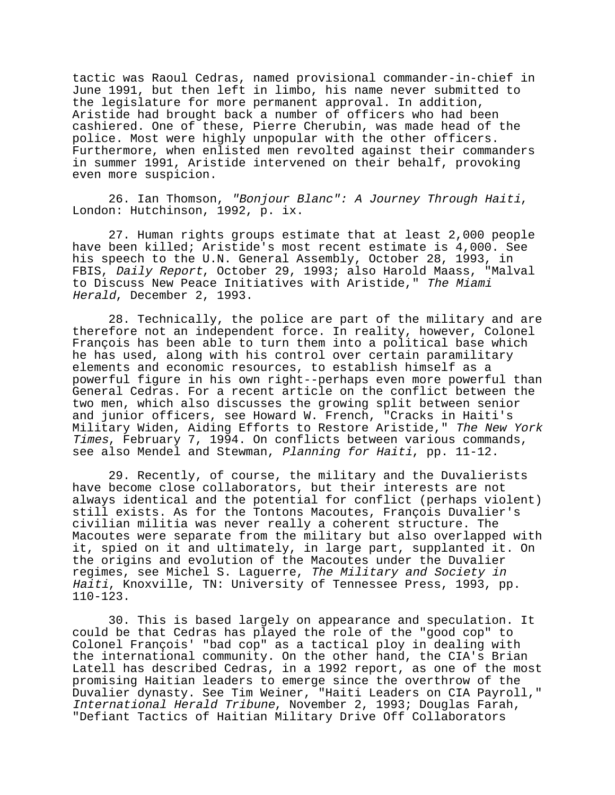tactic was Raoul Cedras, named provisional commander-in-chief in June 1991, but then left in limbo, his name never submitted to the legislature for more permanent approval. In addition, Aristide had brought back a number of officers who had been cashiered. One of these, Pierre Cherubin, was made head of the police. Most were highly unpopular with the other officers. Furthermore, when enlisted men revolted against their commanders in summer 1991, Aristide intervened on their behalf, provoking even more suspicion.

26. Ian Thomson, "Bonjour Blanc": A Journey Through Haiti, London: Hutchinson, 1992, p. ix.

27. Human rights groups estimate that at least 2,000 people have been killed; Aristide's most recent estimate is 4,000. See his speech to the U.N. General Assembly, October 28, 1993, in FBIS, Daily Report, October 29, 1993; also Harold Maass, "Malval to Discuss New Peace Initiatives with Aristide," The Miami Herald, December 2, 1993.

28. Technically, the police are part of the military and are therefore not an independent force. In reality, however, Colonel François has been able to turn them into a political base which he has used, along with his control over certain paramilitary elements and economic resources, to establish himself as a powerful figure in his own right--perhaps even more powerful than General Cedras. For a recent article on the conflict between the two men, which also discusses the growing split between senior and junior officers, see Howard W. French, "Cracks in Haiti's Military Widen, Aiding Efforts to Restore Aristide," The New York Times, February 7, 1994. On conflicts between various commands, see also Mendel and Stewman, Planning for Haiti, pp. 11-12.

29. Recently, of course, the military and the Duvalierists have become close collaborators, but their interests are not always identical and the potential for conflict (perhaps violent) still exists. As for the Tontons Macoutes, François Duvalier's civilian militia was never really a coherent structure. The Macoutes were separate from the military but also overlapped with it, spied on it and ultimately, in large part, supplanted it. On the origins and evolution of the Macoutes under the Duvalier regimes, see Michel S. Laguerre, The Military and Society in Haiti, Knoxville, TN: University of Tennessee Press, 1993, pp. 110-123.

30. This is based largely on appearance and speculation. It could be that Cedras has played the role of the "good cop" to Colonel François' "bad cop" as a tactical ploy in dealing with the international community. On the other hand, the CIA's Brian Latell has described Cedras, in a 1992 report, as one of the most promising Haitian leaders to emerge since the overthrow of the Duvalier dynasty. See Tim Weiner, "Haiti Leaders on CIA Payroll," International Herald Tribune, November 2, 1993; Douglas Farah, "Defiant Tactics of Haitian Military Drive Off Collaborators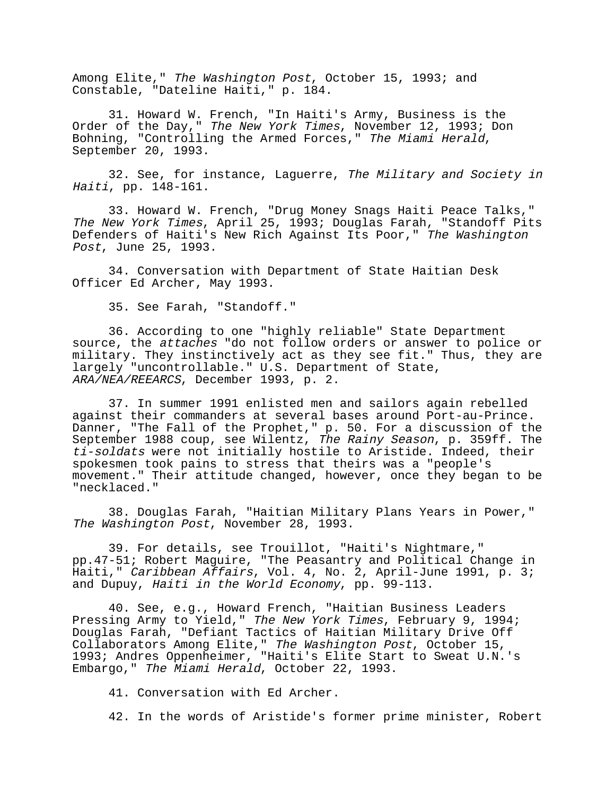Among Elite," The Washington Post, October 15, 1993; and Constable, "Dateline Haiti," p. 184.

31. Howard W. French, "In Haiti's Army, Business is the Order of the Day," The New York Times, November 12, 1993; Don Bohning, "Controlling the Armed Forces," The Miami Herald, September 20, 1993.

32. See, for instance, Laguerre, The Military and Society in Haiti, pp. 148-161.

33. Howard W. French, "Drug Money Snags Haiti Peace Talks," The New York Times, April 25, 1993; Douglas Farah, "Standoff Pits Defenders of Haiti's New Rich Against Its Poor," The Washington Post, June 25, 1993.

34. Conversation with Department of State Haitian Desk Officer Ed Archer, May 1993.

35. See Farah, "Standoff."

36. According to one "highly reliable" State Department source, the attaches "do not follow orders or answer to police or military. They instinctively act as they see fit." Thus, they are largely "uncontrollable." U.S. Department of State, ARA/NEA/REEARCS, December 1993, p. 2.

37. In summer 1991 enlisted men and sailors again rebelled against their commanders at several bases around Port-au-Prince. Danner, "The Fall of the Prophet," p. 50. For a discussion of the September 1988 coup, see Wilentz, The Rainy Season, p. 359ff. The ti-soldats were not initially hostile to Aristide. Indeed, their spokesmen took pains to stress that theirs was a "people's movement." Their attitude changed, however, once they began to be "necklaced."

38. Douglas Farah, "Haitian Military Plans Years in Power," The Washington Post, November 28, 1993.

39. For details, see Trouillot, "Haiti's Nightmare," pp.47-51; Robert Maguire, "The Peasantry and Political Change in Haiti," *Caribbean Affairs*, Vol. 4, No. 2, April-June 1991, p. 3; and Dupuy, Haiti in the World Economy, pp. 99-113.

40. See, e.g., Howard French, "Haitian Business Leaders Pressing Army to Yield," The New York Times, February 9, 1994; Douglas Farah, "Defiant Tactics of Haitian Military Drive Off Collaborators Among Elite," The Washington Post, October 15, 1993; Andres Oppenheimer, "Haiti's Elite Start to Sweat U.N.'s Embargo," The Miami Herald, October 22, 1993.

41. Conversation with Ed Archer.

42. In the words of Aristide's former prime minister, Robert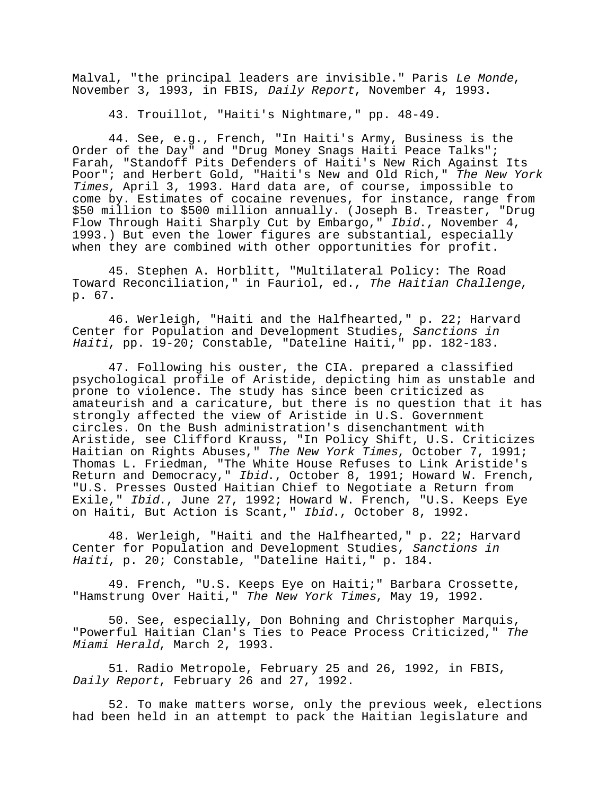Malval, "the principal leaders are invisible." Paris Le Monde, November 3, 1993, in FBIS, Daily Report, November 4, 1993.

43. Trouillot, "Haiti's Nightmare," pp. 48-49.

44. See, e.g., French, "In Haiti's Army, Business is the Order of the Day" and "Drug Money Snags Haiti Peace Talks"; Farah, "Standoff Pits Defenders of Haiti's New Rich Against Its Poor"; and Herbert Gold, "Haiti's New and Old Rich," The New York Times, April 3, 1993. Hard data are, of course, impossible to come by. Estimates of cocaine revenues, for instance, range from \$50 million to \$500 million annually. (Joseph B. Treaster, "Drug Flow Through Haiti Sharply Cut by Embargo," Ibid., November 4, 1993.) But even the lower figures are substantial, especially when they are combined with other opportunities for profit.

45. Stephen A. Horblitt, "Multilateral Policy: The Road Toward Reconciliation," in Fauriol, ed., The Haitian Challenge, p. 67.

46. Werleigh, "Haiti and the Halfhearted," p. 22; Harvard Center for Population and Development Studies, Sanctions in Haiti, pp. 19-20; Constable, "Dateline Haiti," pp. 182-183.

47. Following his ouster, the CIA. prepared a classified psychological profile of Aristide, depicting him as unstable and prone to violence. The study has since been criticized as amateurish and a caricature, but there is no question that it has strongly affected the view of Aristide in U.S. Government circles. On the Bush administration's disenchantment with Aristide, see Clifford Krauss, "In Policy Shift, U.S. Criticizes Haitian on Rights Abuses," The New York Times, October 7, 1991; Thomas L. Friedman, "The White House Refuses to Link Aristide's Return and Democracy," Ibid., October 8, 1991; Howard W. French, "U.S. Presses Ousted Haitian Chief to Negotiate a Return from Exile," Ibid., June 27, 1992; Howard W. French, "U.S. Keeps Eye on Haiti, But Action is Scant," Ibid., October 8, 1992.

48. Werleigh, "Haiti and the Halfhearted," p. 22; Harvard Center for Population and Development Studies, Sanctions in Haiti, p. 20; Constable, "Dateline Haiti," p. 184.

49. French, "U.S. Keeps Eye on Haiti;" Barbara Crossette, "Hamstrung Over Haiti," The New York Times, May 19, 1992.

50. See, especially, Don Bohning and Christopher Marquis, "Powerful Haitian Clan's Ties to Peace Process Criticized," The Miami Herald, March 2, 1993.

51. Radio Metropole, February 25 and 26, 1992, in FBIS, Daily Report, February 26 and 27, 1992.

52. To make matters worse, only the previous week, elections had been held in an attempt to pack the Haitian legislature and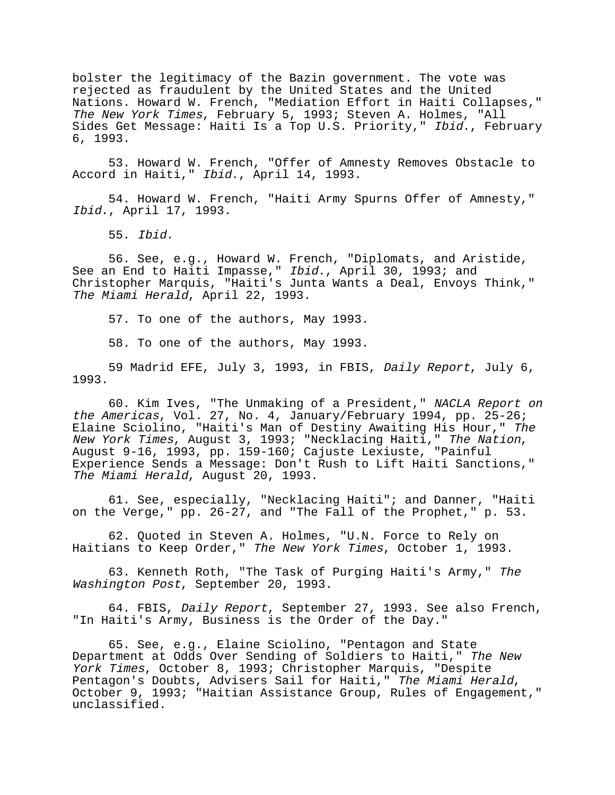bolster the legitimacy of the Bazin government. The vote was rejected as fraudulent by the United States and the United Nations. Howard W. French, "Mediation Effort in Haiti Collapses," The New York Times, February 5, 1993; Steven A. Holmes, "All Sides Get Message: Haiti Is a Top U.S. Priority," Ibid., February 6, 1993.

53. Howard W. French, "Offer of Amnesty Removes Obstacle to Accord in Haiti," Ibid., April 14, 1993.

54. Howard W. French, "Haiti Army Spurns Offer of Amnesty," Ibid., April 17, 1993.

55. Ibid.

56. See, e.g., Howard W. French, "Diplomats, and Aristide, See an End to Haiti Impasse," Ibid., April 30, 1993; and Christopher Marquis, "Haiti's Junta Wants a Deal, Envoys Think," The Miami Herald, April 22, 1993.

57. To one of the authors, May 1993.

58. To one of the authors, May 1993.

59 Madrid EFE, July 3, 1993, in FBIS, Daily Report, July 6, 1993.

60. Kim Ives, "The Unmaking of a President," NACLA Report on the Americas, Vol. 27, No. 4, January/February 1994, pp. 25-26; Elaine Sciolino, "Haiti's Man of Destiny Awaiting His Hour," The New York Times, August 3, 1993; "Necklacing Haiti," The Nation, August 9-16, 1993, pp. 159-160; Cajuste Lexiuste, "Painful Experience Sends a Message: Don't Rush to Lift Haiti Sanctions," The Miami Herald, August 20, 1993.

61. See, especially, "Necklacing Haiti"; and Danner, "Haiti on the Verge," pp. 26-27, and "The Fall of the Prophet," p. 53.

62. Quoted in Steven A. Holmes, "U.N. Force to Rely on Haitians to Keep Order," The New York Times, October 1, 1993.

63. Kenneth Roth, "The Task of Purging Haiti's Army," The Washington Post, September 20, 1993.

64. FBIS, Daily Report, September 27, 1993. See also French, "In Haiti's Army, Business is the Order of the Day."

65. See, e.g., Elaine Sciolino, "Pentagon and State Department at Odds Over Sending of Soldiers to Haiti," The New York Times, October 8, 1993; Christopher Marquis, "Despite<br>Pentagon's Doubts, Advisers Sail for Haiti," The Miami Herald, October 9, 1993; "Haitian Assistance Group, Rules of Engagement," unclassified.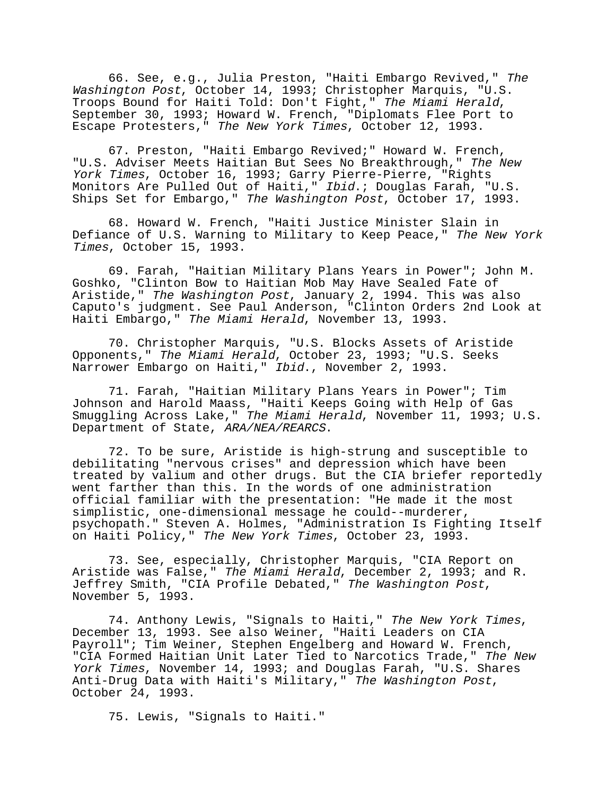66. See, e.g., Julia Preston, "Haiti Embargo Revived," The Washington Post, October 14, 1993; Christopher Marquis, "U.S. Troops Bound for Haiti Told: Don't Fight," The Miami Herald, September 30, 1993; Howard W. French, "Diplomats Flee Port to Escape Protesters," The New York Times, October 12, 1993.

67. Preston, "Haiti Embargo Revived;" Howard W. French, "U.S. Adviser Meets Haitian But Sees No Breakthrough," The New York Times, October 16, 1993; Garry Pierre-Pierre, "Rights Monitors Are Pulled Out of Haiti," Ibid.; Douglas Farah, "U.S. Ships Set for Embargo," The Washington Post, October 17, 1993.

68. Howard W. French, "Haiti Justice Minister Slain in Defiance of U.S. Warning to Military to Keep Peace," The New York Times, October 15, 1993.

69. Farah, "Haitian Military Plans Years in Power"; John M. Goshko, "Clinton Bow to Haitian Mob May Have Sealed Fate of Aristide," The Washington Post, January 2, 1994. This was also Caputo's judgment. See Paul Anderson, "Clinton Orders 2nd Look at Haiti Embargo," The Miami Herald, November 13, 1993.

70. Christopher Marquis, "U.S. Blocks Assets of Aristide Opponents," The Miami Herald, October 23, 1993; "U.S. Seeks Narrower Embargo on Haiti," Ibid., November 2, 1993.

71. Farah, "Haitian Military Plans Years in Power"; Tim Johnson and Harold Maass, "Haiti Keeps Going with Help of Gas Smuggling Across Lake," The Miami Herald, November 11, 1993; U.S. Department of State, ARA/NEA/REARCS.

72. To be sure, Aristide is high-strung and susceptible to debilitating "nervous crises" and depression which have been treated by valium and other drugs. But the CIA briefer reportedly went farther than this. In the words of one administration official familiar with the presentation: "He made it the most simplistic, one-dimensional message he could--murderer, psychopath." Steven A. Holmes, "Administration Is Fighting Itself on Haiti Policy," The New York Times, October 23, 1993.

73. See, especially, Christopher Marquis, "CIA Report on Aristide was False," The Miami Herald, December 2, 1993; and R. Jeffrey Smith, "CIA Profile Debated," The Washington Post, November 5, 1993.

74. Anthony Lewis, "Signals to Haiti," The New York Times, December 13, 1993. See also Weiner, "Haiti Leaders on CIA Payroll"; Tim Weiner, Stephen Engelberg and Howard W. French, "CIA Formed Haitian Unit Later Tied to Narcotics Trade," The New York Times, November 14, 1993; and Douglas Farah, "U.S. Shares Anti-Drug Data with Haiti's Military," The Washington Post, October 24, 1993.

75. Lewis, "Signals to Haiti."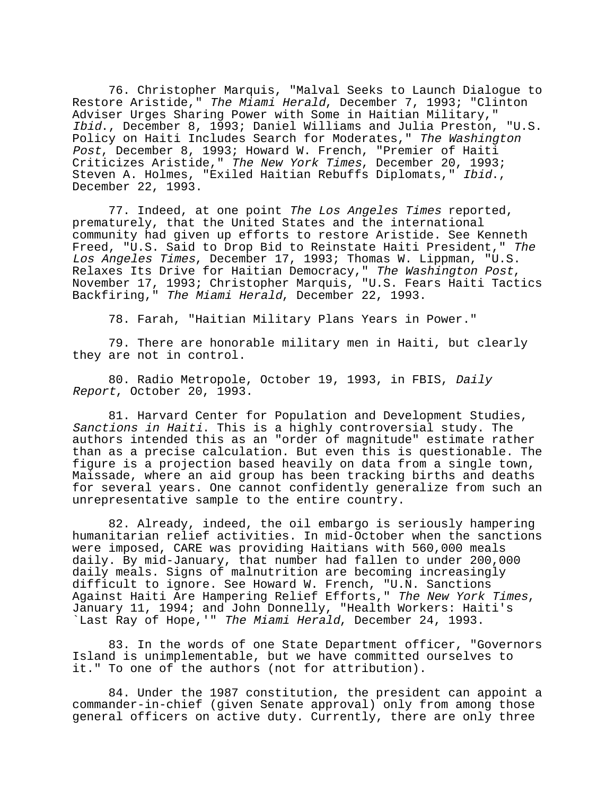76. Christopher Marquis, "Malval Seeks to Launch Dialogue to Restore Aristide," The Miami Herald, December 7, 1993; "Clinton Adviser Urges Sharing Power with Some in Haitian Military," Ibid., December 8, 1993; Daniel Williams and Julia Preston, "U.S. Policy on Haiti Includes Search for Moderates," The Washington Post, December 8, 1993; Howard W. French, "Premier of Haiti Criticizes Aristide," The New York Times, December 20, 1993; Steven A. Holmes, "Exiled Haitian Rebuffs Diplomats," Ibid., December 22, 1993.

77. Indeed, at one point The Los Angeles Times reported, prematurely, that the United States and the international community had given up efforts to restore Aristide. See Kenneth Freed, "U.S. Said to Drop Bid to Reinstate Haiti President," The Los Angeles Times, December 17, 1993; Thomas W. Lippman, "U.S. Relaxes Its Drive for Haitian Democracy," The Washington Post, November 17, 1993; Christopher Marquis, "U.S. Fears Haiti Tactics Backfiring," The Miami Herald, December 22, 1993.

78. Farah, "Haitian Military Plans Years in Power."

79. There are honorable military men in Haiti, but clearly they are not in control.

80. Radio Metropole, October 19, 1993, in FBIS, Daily Report, October 20, 1993.

81. Harvard Center for Population and Development Studies, Sanctions in Haiti. This is a highly controversial study. The authors intended this as an "order of magnitude" estimate rather than as a precise calculation. But even this is questionable. The figure is a projection based heavily on data from a single town, Maissade, where an aid group has been tracking births and deaths for several years. One cannot confidently generalize from such an unrepresentative sample to the entire country.

82. Already, indeed, the oil embargo is seriously hampering humanitarian relief activities. In mid-October when the sanctions were imposed, CARE was providing Haitians with 560,000 meals daily. By mid-January, that number had fallen to under 200,000 daily meals. Signs of malnutrition are becoming increasingly difficult to ignore. See Howard W. French, "U.N. Sanctions<br>Against Haiti Are Hampering Relief Efforts," The New York Times, January 11, 1994; and John Donnelly, "Health Workers: Haiti's `Last Ray of Hope,'" The Miami Herald, December 24, 1993.

83. In the words of one State Department officer, "Governors Island is unimplementable, but we have committed ourselves to it." To one of the authors (not for attribution).

84. Under the 1987 constitution, the president can appoint a commander-in-chief (given Senate approval) only from among those general officers on active duty. Currently, there are only three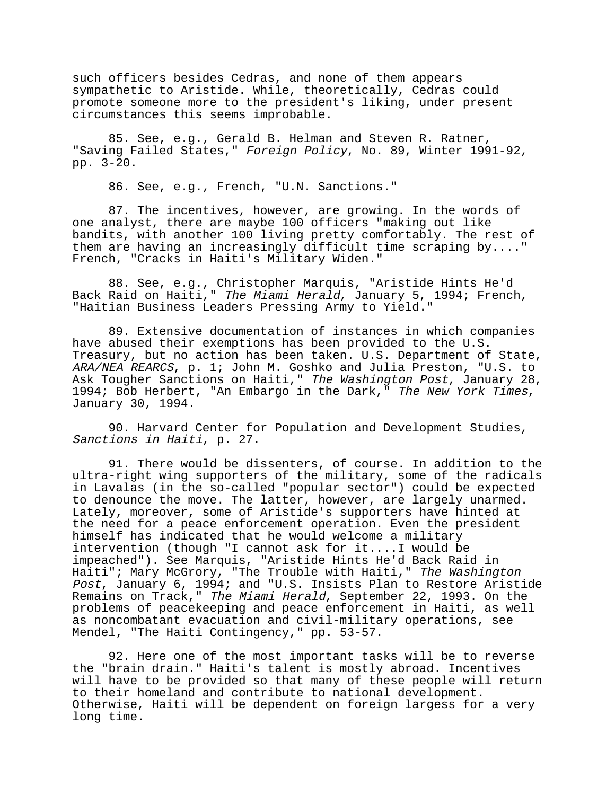such officers besides Cedras, and none of them appears sympathetic to Aristide. While, theoretically, Cedras could promote someone more to the president's liking, under present circumstances this seems improbable.

85. See, e.g., Gerald B. Helman and Steven R. Ratner, "Saving Failed States," Foreign Policy, No. 89, Winter 1991-92, pp. 3-20.

86. See, e.g., French, "U.N. Sanctions."

87. The incentives, however, are growing. In the words of one analyst, there are maybe 100 officers "making out like bandits, with another 100 living pretty comfortably. The rest of them are having an increasingly difficult time scraping  $by...$ ." French, "Cracks in Haiti's Military Widen."

88. See, e.g., Christopher Marquis, "Aristide Hints He'd Back Raid on Haiti," The Miami Herald, January 5, 1994; French, "Haitian Business Leaders Pressing Army to Yield."

89. Extensive documentation of instances in which companies have abused their exemptions has been provided to the U.S. Treasury, but no action has been taken. U.S. Department of State, ARA/NEA REARCS, p. 1; John M. Goshko and Julia Preston, "U.S. to Ask Tougher Sanctions on Haiti," The Washington Post, January 28, 1994; Bob Herbert, "An Embargo in the Dark," The New York Times, January 30, 1994.

90. Harvard Center for Population and Development Studies, Sanctions in Haiti, p. 27.

91. There would be dissenters, of course. In addition to the ultra-right wing supporters of the military, some of the radicals in Lavalas (in the so-called "popular sector") could be expected to denounce the move. The latter, however, are largely unarmed. Lately, moreover, some of Aristide's supporters have hinted at the need for a peace enforcement operation. Even the president himself has indicated that he would welcome a military intervention (though "I cannot ask for it....I would be impeached"). See Marquis, "Aristide Hints He'd Back Raid in Haiti"; Mary McGrory, "The Trouble with Haiti," The Washington Post, January 6, 1994; and "U.S. Insists Plan to Restore Aristide Remains on Track," The Miami Herald, September 22, 1993. On the problems of peacekeeping and peace enforcement in Haiti, as well as noncombatant evacuation and civil-military operations, see Mendel, "The Haiti Contingency," pp. 53-57.

92. Here one of the most important tasks will be to reverse the "brain drain." Haiti's talent is mostly abroad. Incentives will have to be provided so that many of these people will return to their homeland and contribute to national development. Otherwise, Haiti will be dependent on foreign largess for a very long time.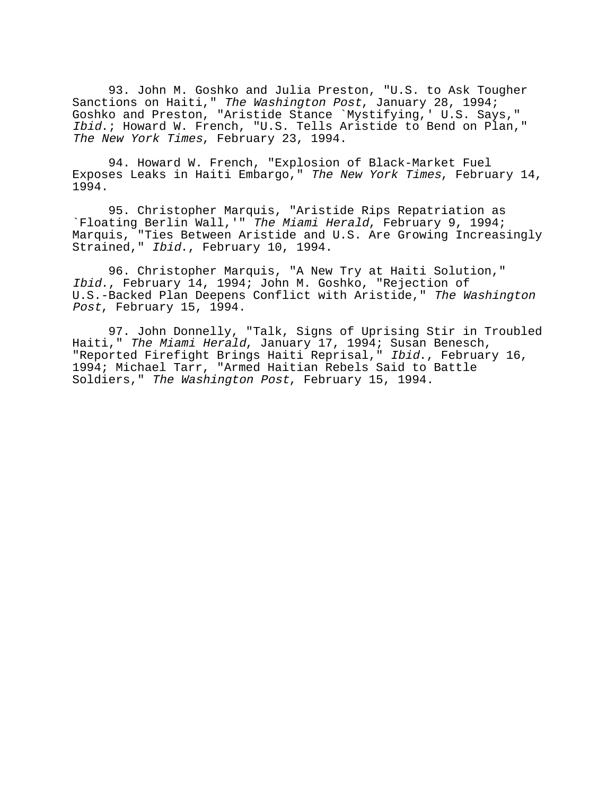93. John M. Goshko and Julia Preston, "U.S. to Ask Tougher Sanctions on Haiti," The Washington Post, January 28, 1994; Goshko and Preston, "Aristide Stance `Mystifying,' U.S. Says," Ibid.; Howard W. French, "U.S. Tells Aristide to Bend on Plan," The New York Times, February 23, 1994.

94. Howard W. French, "Explosion of Black-Market Fuel Exposes Leaks in Haiti Embargo," The New York Times, February 14, 1994.

95. Christopher Marquis, "Aristide Rips Repatriation as `Floating Berlin Wall,'" The Miami Herald, February 9, 1994; Marquis, "Ties Between Aristide and U.S. Are Growing Increasingly Strained," Ibid., February 10, 1994.

96. Christopher Marquis, "A New Try at Haiti Solution," Ibid., February 14, 1994; John M. Goshko, "Rejection of U.S.-Backed Plan Deepens Conflict with Aristide," The Washington Post, February 15, 1994.

97. John Donnelly, "Talk, Signs of Uprising Stir in Troubled Haiti," The Miami Herald, January 17, 1994; Susan Benesch, "Reported Firefight Brings Haiti Reprisal," Ibid., February 16, 1994; Michael Tarr, "Armed Haitian Rebels Said to Battle Soldiers," The Washington Post, February 15, 1994.